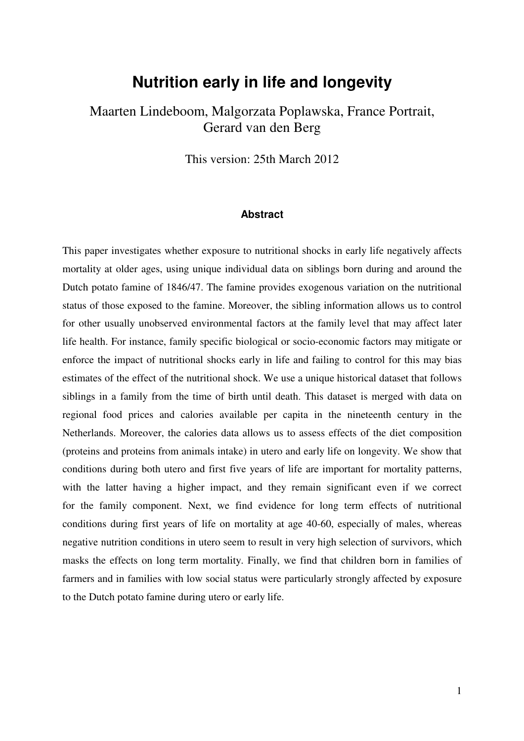## **Nutrition early in life and longevity**

## Maarten Lindeboom, Malgorzata Poplawska, France Portrait, Gerard van den Berg

This version: 25th March 2012

#### **Abstract**

This paper investigates whether exposure to nutritional shocks in early life negatively affects mortality at older ages, using unique individual data on siblings born during and around the Dutch potato famine of 1846/47. The famine provides exogenous variation on the nutritional status of those exposed to the famine. Moreover, the sibling information allows us to control for other usually unobserved environmental factors at the family level that may affect later life health. For instance, family specific biological or socio-economic factors may mitigate or enforce the impact of nutritional shocks early in life and failing to control for this may bias estimates of the effect of the nutritional shock. We use a unique historical dataset that follows siblings in a family from the time of birth until death. This dataset is merged with data on regional food prices and calories available per capita in the nineteenth century in the Netherlands. Moreover, the calories data allows us to assess effects of the diet composition (proteins and proteins from animals intake) in utero and early life on longevity. We show that conditions during both utero and first five years of life are important for mortality patterns, with the latter having a higher impact, and they remain significant even if we correct for the family component. Next, we find evidence for long term effects of nutritional conditions during first years of life on mortality at age 40-60, especially of males, whereas negative nutrition conditions in utero seem to result in very high selection of survivors, which masks the effects on long term mortality. Finally, we find that children born in families of farmers and in families with low social status were particularly strongly affected by exposure to the Dutch potato famine during utero or early life.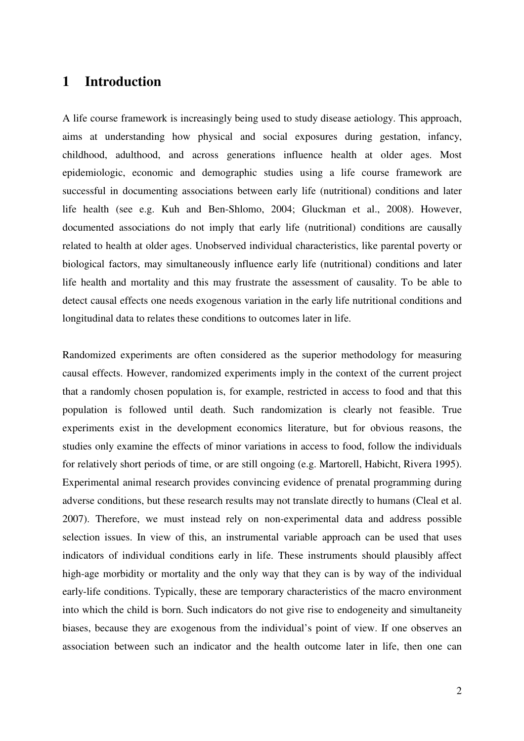### **1 Introduction**

A life course framework is increasingly being used to study disease aetiology. This approach, aims at understanding how physical and social exposures during gestation, infancy, childhood, adulthood, and across generations influence health at older ages. Most epidemiologic, economic and demographic studies using a life course framework are successful in documenting associations between early life (nutritional) conditions and later life health (see e.g. Kuh and Ben-Shlomo, 2004; Gluckman et al., 2008). However, documented associations do not imply that early life (nutritional) conditions are causally related to health at older ages. Unobserved individual characteristics, like parental poverty or biological factors, may simultaneously influence early life (nutritional) conditions and later life health and mortality and this may frustrate the assessment of causality. To be able to detect causal effects one needs exogenous variation in the early life nutritional conditions and longitudinal data to relates these conditions to outcomes later in life.

Randomized experiments are often considered as the superior methodology for measuring causal effects. However, randomized experiments imply in the context of the current project that a randomly chosen population is, for example, restricted in access to food and that this population is followed until death. Such randomization is clearly not feasible. True experiments exist in the development economics literature, but for obvious reasons, the studies only examine the effects of minor variations in access to food, follow the individuals for relatively short periods of time, or are still ongoing (e.g. Martorell, Habicht, Rivera 1995). Experimental animal research provides convincing evidence of prenatal programming during adverse conditions, but these research results may not translate directly to humans (Cleal et al. 2007). Therefore, we must instead rely on non-experimental data and address possible selection issues. In view of this, an instrumental variable approach can be used that uses indicators of individual conditions early in life. These instruments should plausibly affect high-age morbidity or mortality and the only way that they can is by way of the individual early-life conditions. Typically, these are temporary characteristics of the macro environment into which the child is born. Such indicators do not give rise to endogeneity and simultaneity biases, because they are exogenous from the individual's point of view. If one observes an association between such an indicator and the health outcome later in life, then one can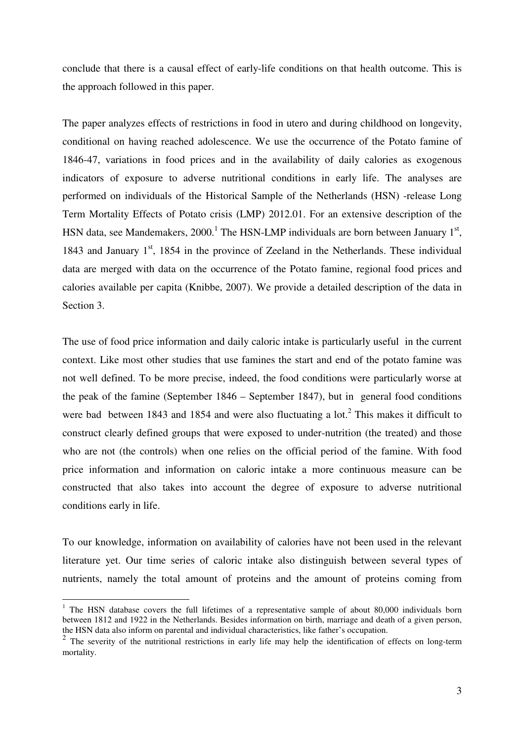conclude that there is a causal effect of early-life conditions on that health outcome. This is the approach followed in this paper.

The paper analyzes effects of restrictions in food in utero and during childhood on longevity, conditional on having reached adolescence. We use the occurrence of the Potato famine of 1846-47, variations in food prices and in the availability of daily calories as exogenous indicators of exposure to adverse nutritional conditions in early life. The analyses are performed on individuals of the Historical Sample of the Netherlands (HSN) -release Long Term Mortality Effects of Potato crisis (LMP) 2012.01. For an extensive description of the HSN data, see Mandemakers, 2000.<sup>1</sup> The HSN-LMP individuals are born between January  $1<sup>st</sup>$ , 1843 and January  $1<sup>st</sup>$ , 1854 in the province of Zeeland in the Netherlands. These individual data are merged with data on the occurrence of the Potato famine, regional food prices and calories available per capita (Knibbe, 2007). We provide a detailed description of the data in Section 3.

The use of food price information and daily caloric intake is particularly useful in the current context. Like most other studies that use famines the start and end of the potato famine was not well defined. To be more precise, indeed, the food conditions were particularly worse at the peak of the famine (September 1846 – September 1847), but in general food conditions were bad between 1843 and 1854 and were also fluctuating a lot.<sup>2</sup> This makes it difficult to construct clearly defined groups that were exposed to under-nutrition (the treated) and those who are not (the controls) when one relies on the official period of the famine. With food price information and information on caloric intake a more continuous measure can be constructed that also takes into account the degree of exposure to adverse nutritional conditions early in life.

To our knowledge, information on availability of calories have not been used in the relevant literature yet. Our time series of caloric intake also distinguish between several types of nutrients, namely the total amount of proteins and the amount of proteins coming from

 $\overline{a}$ 

<sup>&</sup>lt;sup>1</sup> The HSN database covers the full lifetimes of a representative sample of about 80,000 individuals born between 1812 and 1922 in the Netherlands. Besides information on birth, marriage and death of a given person, the HSN data also inform on parental and individual characteristics, like father's occupation.

 $2$  The severity of the nutritional restrictions in early life may help the identification of effects on long-term mortality.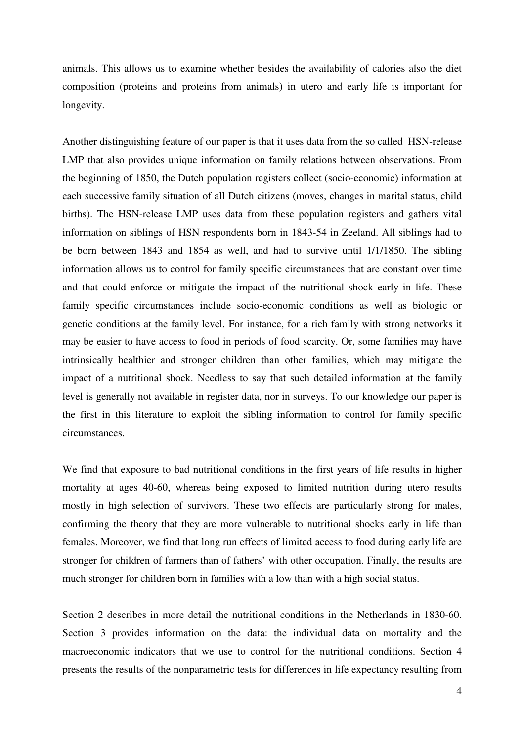animals. This allows us to examine whether besides the availability of calories also the diet composition (proteins and proteins from animals) in utero and early life is important for longevity.

Another distinguishing feature of our paper is that it uses data from the so called HSN-release LMP that also provides unique information on family relations between observations. From the beginning of 1850, the Dutch population registers collect (socio-economic) information at each successive family situation of all Dutch citizens (moves, changes in marital status, child births). The HSN-release LMP uses data from these population registers and gathers vital information on siblings of HSN respondents born in 1843-54 in Zeeland. All siblings had to be born between 1843 and 1854 as well, and had to survive until 1/1/1850. The sibling information allows us to control for family specific circumstances that are constant over time and that could enforce or mitigate the impact of the nutritional shock early in life. These family specific circumstances include socio-economic conditions as well as biologic or genetic conditions at the family level. For instance, for a rich family with strong networks it may be easier to have access to food in periods of food scarcity. Or, some families may have intrinsically healthier and stronger children than other families, which may mitigate the impact of a nutritional shock. Needless to say that such detailed information at the family level is generally not available in register data, nor in surveys. To our knowledge our paper is the first in this literature to exploit the sibling information to control for family specific circumstances.

We find that exposure to bad nutritional conditions in the first years of life results in higher mortality at ages 40-60, whereas being exposed to limited nutrition during utero results mostly in high selection of survivors. These two effects are particularly strong for males, confirming the theory that they are more vulnerable to nutritional shocks early in life than females. Moreover, we find that long run effects of limited access to food during early life are stronger for children of farmers than of fathers' with other occupation. Finally, the results are much stronger for children born in families with a low than with a high social status.

Section 2 describes in more detail the nutritional conditions in the Netherlands in 1830-60. Section 3 provides information on the data: the individual data on mortality and the macroeconomic indicators that we use to control for the nutritional conditions. Section 4 presents the results of the nonparametric tests for differences in life expectancy resulting from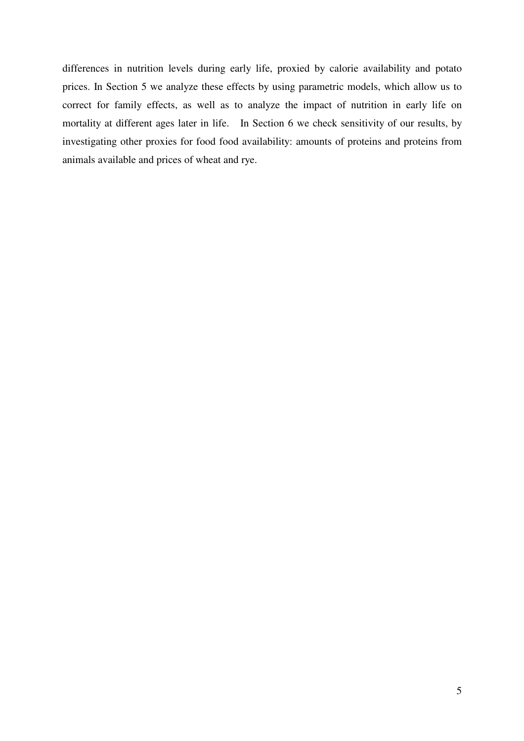differences in nutrition levels during early life, proxied by calorie availability and potato prices. In Section 5 we analyze these effects by using parametric models, which allow us to correct for family effects, as well as to analyze the impact of nutrition in early life on mortality at different ages later in life. In Section 6 we check sensitivity of our results, by investigating other proxies for food food availability: amounts of proteins and proteins from animals available and prices of wheat and rye.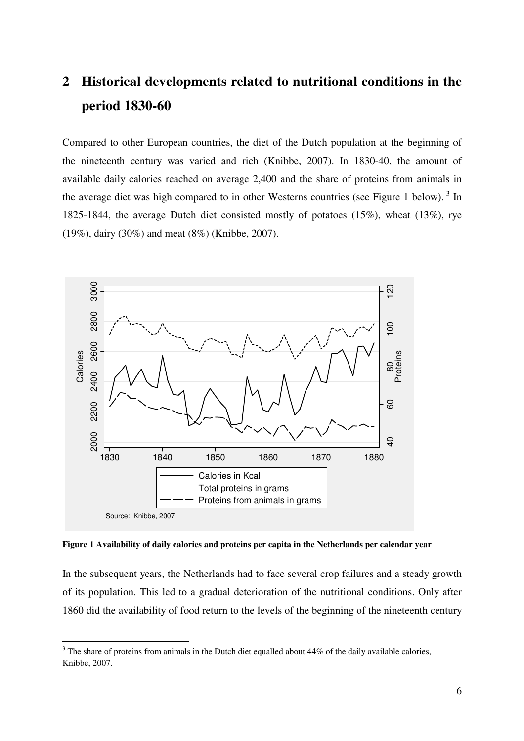# **2 Historical developments related to nutritional conditions in the period 1830-60**

Compared to other European countries, the diet of the Dutch population at the beginning of the nineteenth century was varied and rich (Knibbe, 2007). In 1830-40, the amount of available daily calories reached on average 2,400 and the share of proteins from animals in the average diet was high compared to in other Westerns countries (see Figure 1 below).<sup>3</sup> In 1825-1844, the average Dutch diet consisted mostly of potatoes (15%), wheat (13%), rye (19%), dairy (30%) and meat (8%) (Knibbe, 2007).



**Figure 1 Availability of daily calories and proteins per capita in the Netherlands per calendar year** 

In the subsequent years, the Netherlands had to face several crop failures and a steady growth of its population. This led to a gradual deterioration of the nutritional conditions. Only after 1860 did the availability of food return to the levels of the beginning of the nineteenth century

 $\overline{a}$ 

 $3$  The share of proteins from animals in the Dutch diet equalled about 44% of the daily available calories, Knibbe, 2007.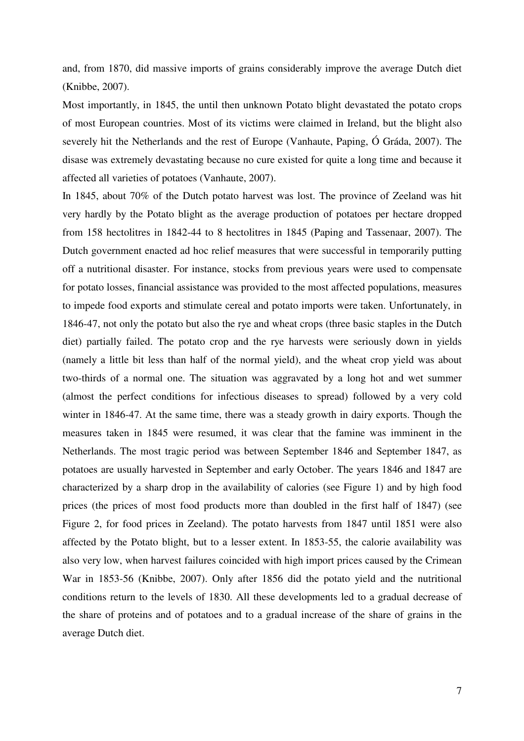and, from 1870, did massive imports of grains considerably improve the average Dutch diet (Knibbe, 2007).

Most importantly, in 1845, the until then unknown Potato blight devastated the potato crops of most European countries. Most of its victims were claimed in Ireland, but the blight also severely hit the Netherlands and the rest of Europe (Vanhaute, Paping, Ó Gráda, 2007). The disase was extremely devastating because no cure existed for quite a long time and because it affected all varieties of potatoes (Vanhaute, 2007).

In 1845, about 70% of the Dutch potato harvest was lost. The province of Zeeland was hit very hardly by the Potato blight as the average production of potatoes per hectare dropped from 158 hectolitres in 1842-44 to 8 hectolitres in 1845 (Paping and Tassenaar, 2007). The Dutch government enacted ad hoc relief measures that were successful in temporarily putting off a nutritional disaster. For instance, stocks from previous years were used to compensate for potato losses, financial assistance was provided to the most affected populations, measures to impede food exports and stimulate cereal and potato imports were taken. Unfortunately, in 1846-47, not only the potato but also the rye and wheat crops (three basic staples in the Dutch diet) partially failed. The potato crop and the rye harvests were seriously down in yields (namely a little bit less than half of the normal yield), and the wheat crop yield was about two-thirds of a normal one. The situation was aggravated by a long hot and wet summer (almost the perfect conditions for infectious diseases to spread) followed by a very cold winter in 1846-47. At the same time, there was a steady growth in dairy exports. Though the measures taken in 1845 were resumed, it was clear that the famine was imminent in the Netherlands. The most tragic period was between September 1846 and September 1847, as potatoes are usually harvested in September and early October. The years 1846 and 1847 are characterized by a sharp drop in the availability of calories (see Figure 1) and by high food prices (the prices of most food products more than doubled in the first half of 1847) (see Figure 2, for food prices in Zeeland). The potato harvests from 1847 until 1851 were also affected by the Potato blight, but to a lesser extent. In 1853-55, the calorie availability was also very low, when harvest failures coincided with high import prices caused by the Crimean War in 1853-56 (Knibbe, 2007). Only after 1856 did the potato yield and the nutritional conditions return to the levels of 1830. All these developments led to a gradual decrease of the share of proteins and of potatoes and to a gradual increase of the share of grains in the average Dutch diet.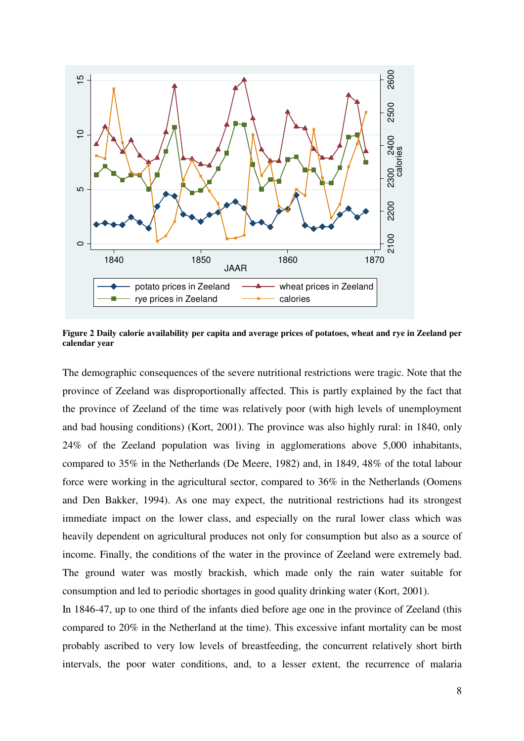

**Figure 2 Daily calorie availability per capita and average prices of potatoes, wheat and rye in Zeeland per calendar year** 

The demographic consequences of the severe nutritional restrictions were tragic. Note that the province of Zeeland was disproportionally affected. This is partly explained by the fact that the province of Zeeland of the time was relatively poor (with high levels of unemployment and bad housing conditions) (Kort, 2001). The province was also highly rural: in 1840, only 24% of the Zeeland population was living in agglomerations above 5,000 inhabitants, compared to 35% in the Netherlands (De Meere, 1982) and, in 1849, 48% of the total labour force were working in the agricultural sector, compared to 36% in the Netherlands (Oomens and Den Bakker, 1994). As one may expect, the nutritional restrictions had its strongest immediate impact on the lower class, and especially on the rural lower class which was heavily dependent on agricultural produces not only for consumption but also as a source of income. Finally, the conditions of the water in the province of Zeeland were extremely bad. The ground water was mostly brackish, which made only the rain water suitable for consumption and led to periodic shortages in good quality drinking water (Kort, 2001).

In 1846-47, up to one third of the infants died before age one in the province of Zeeland (this compared to 20% in the Netherland at the time). This excessive infant mortality can be most probably ascribed to very low levels of breastfeeding, the concurrent relatively short birth intervals, the poor water conditions, and, to a lesser extent, the recurrence of malaria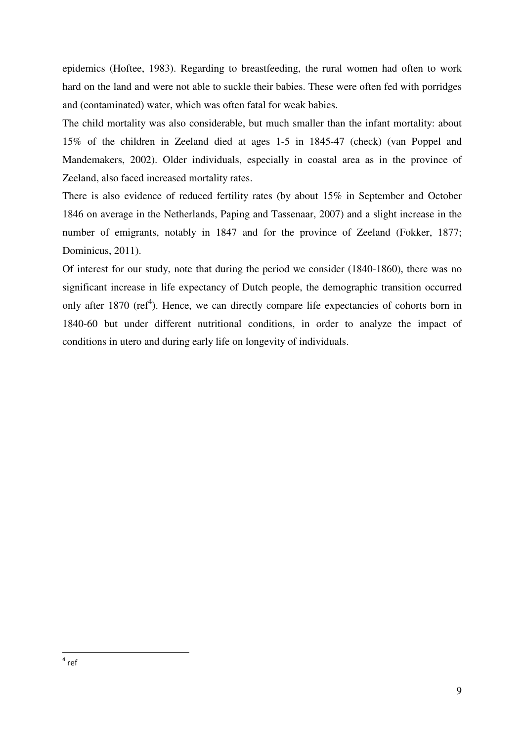epidemics (Hoftee, 1983). Regarding to breastfeeding, the rural women had often to work hard on the land and were not able to suckle their babies. These were often fed with porridges and (contaminated) water, which was often fatal for weak babies.

The child mortality was also considerable, but much smaller than the infant mortality: about 15% of the children in Zeeland died at ages 1-5 in 1845-47 (check) (van Poppel and Mandemakers, 2002). Older individuals, especially in coastal area as in the province of Zeeland, also faced increased mortality rates.

There is also evidence of reduced fertility rates (by about 15% in September and October 1846 on average in the Netherlands, Paping and Tassenaar, 2007) and a slight increase in the number of emigrants, notably in 1847 and for the province of Zeeland (Fokker, 1877; Dominicus, 2011).

Of interest for our study, note that during the period we consider (1840-1860), there was no significant increase in life expectancy of Dutch people, the demographic transition occurred only after 1870 (ref<sup>4</sup>). Hence, we can directly compare life expectancies of cohorts born in 1840-60 but under different nutritional conditions, in order to analyze the impact of conditions in utero and during early life on longevity of individuals.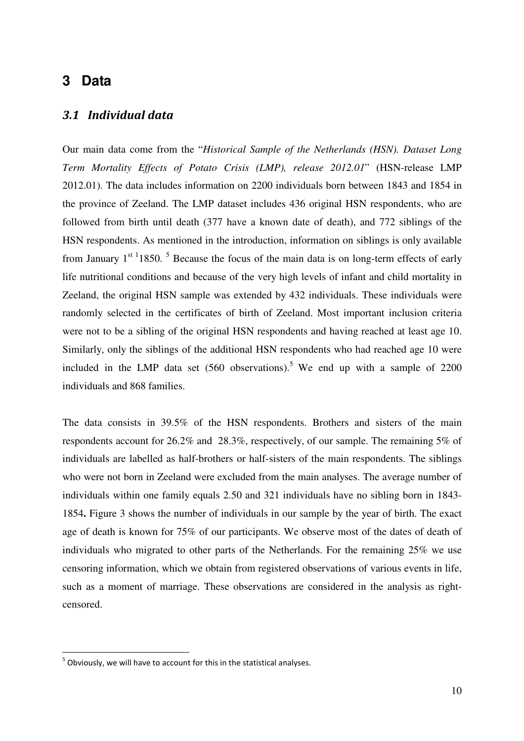## **3 Data**

### 3.1 Individual data

Our main data come from the "*Historical Sample of the Netherlands (HSN). Dataset Long Term Mortality Effects of Potato Crisis (LMP), release 2012.01*" (HSN-release LMP 2012.01). The data includes information on 2200 individuals born between 1843 and 1854 in the province of Zeeland. The LMP dataset includes 436 original HSN respondents, who are followed from birth until death (377 have a known date of death), and 772 siblings of the HSN respondents. As mentioned in the introduction, information on siblings is only available from January  $1^{st}$  1850. <sup>5</sup> Because the focus of the main data is on long-term effects of early life nutritional conditions and because of the very high levels of infant and child mortality in Zeeland, the original HSN sample was extended by 432 individuals. These individuals were randomly selected in the certificates of birth of Zeeland. Most important inclusion criteria were not to be a sibling of the original HSN respondents and having reached at least age 10. Similarly, only the siblings of the additional HSN respondents who had reached age 10 were included in the LMP data set  $(560$  observations).<sup>5</sup> We end up with a sample of 2200 individuals and 868 families.

The data consists in 39.5% of the HSN respondents. Brothers and sisters of the main respondents account for 26.2% and 28.3%, respectively, of our sample. The remaining 5% of individuals are labelled as half-brothers or half-sisters of the main respondents. The siblings who were not born in Zeeland were excluded from the main analyses. The average number of individuals within one family equals 2.50 and 321 individuals have no sibling born in 1843- 1854**.** Figure 3 shows the number of individuals in our sample by the year of birth. The exact age of death is known for 75% of our participants. We observe most of the dates of death of individuals who migrated to other parts of the Netherlands. For the remaining 25% we use censoring information, which we obtain from registered observations of various events in life, such as a moment of marriage. These observations are considered in the analysis as rightcensored.

 $\overline{a}$ 

 $<sup>5</sup>$  Obviously, we will have to account for this in the statistical analyses.</sup>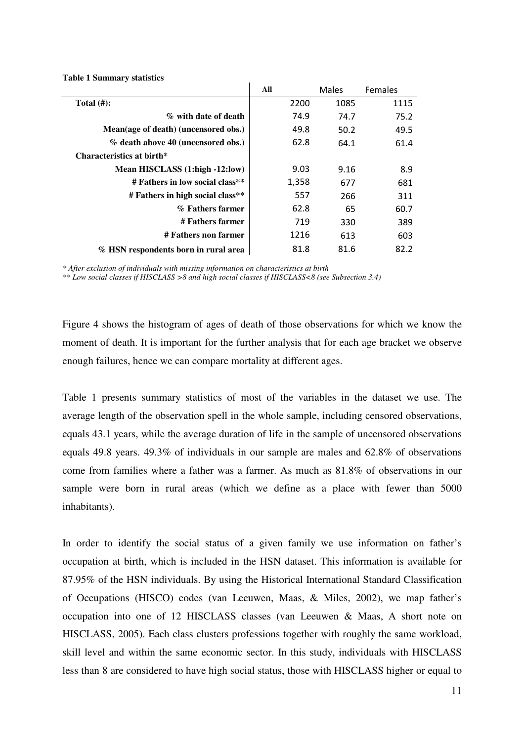|                                      | All   | Males | <b>Females</b> |
|--------------------------------------|-------|-------|----------------|
| Total $(\#)$ :                       | 2200  | 1085  | 1115           |
| % with date of death                 | 74.9  | 74.7  | 75.2           |
| Mean(age of death) (uncensored obs.) | 49.8  | 50.2  | 49.5           |
| % death above 40 (uncensored obs.)   | 62.8  | 64.1  | 61.4           |
| Characteristics at birth*            |       |       |                |
| Mean HISCLASS (1:high -12:low)       | 9.03  | 9.16  | 8.9            |
| # Fathers in low social class**      | 1,358 | 677   | 681            |
| # Fathers in high social class**     | 557   | 266   | 311            |
| % Fathers farmer                     | 62.8  | 65    | 60.7           |
| # Fathers farmer                     | 719   | 330   | 389            |
| # Fathers non farmer                 | 1216  | 613   | 603            |
| % HSN respondents born in rural area | 81.8  | 81.6  | 82.2           |

**Table 1 Summary statistics** 

*\* After exclusion of individuals with missing information on characteristics at birth* 

*\*\* Low social classes if HISCLASS >8 and high social classes if HISCLASS<8 (see Subsection 3.4)* 

Figure 4 shows the histogram of ages of death of those observations for which we know the moment of death. It is important for the further analysis that for each age bracket we observe enough failures, hence we can compare mortality at different ages.

Table 1 presents summary statistics of most of the variables in the dataset we use. The average length of the observation spell in the whole sample, including censored observations, equals 43.1 years, while the average duration of life in the sample of uncensored observations equals 49.8 years. 49.3% of individuals in our sample are males and 62.8% of observations come from families where a father was a farmer. As much as 81.8% of observations in our sample were born in rural areas (which we define as a place with fewer than 5000 inhabitants).

In order to identify the social status of a given family we use information on father's occupation at birth, which is included in the HSN dataset. This information is available for 87.95% of the HSN individuals. By using the Historical International Standard Classification of Occupations (HISCO) codes (van Leeuwen, Maas, & Miles, 2002), we map father's occupation into one of 12 HISCLASS classes (van Leeuwen & Maas, A short note on HISCLASS, 2005). Each class clusters professions together with roughly the same workload, skill level and within the same economic sector. In this study, individuals with HISCLASS less than 8 are considered to have high social status, those with HISCLASS higher or equal to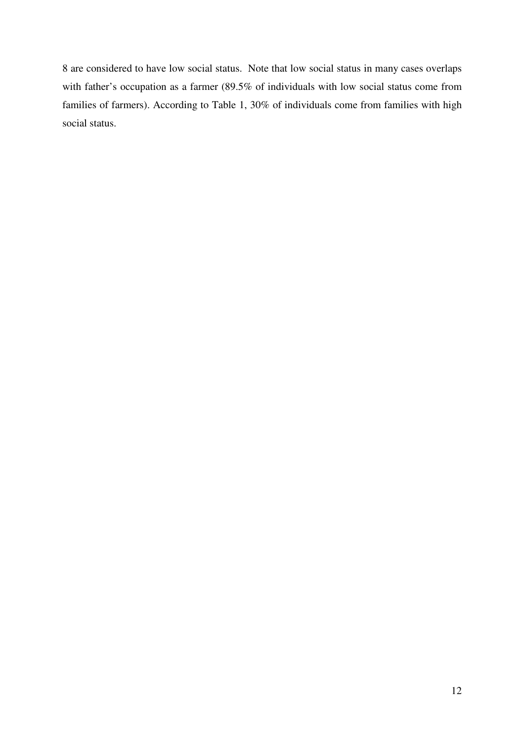8 are considered to have low social status. Note that low social status in many cases overlaps with father's occupation as a farmer (89.5% of individuals with low social status come from families of farmers). According to Table 1, 30% of individuals come from families with high social status.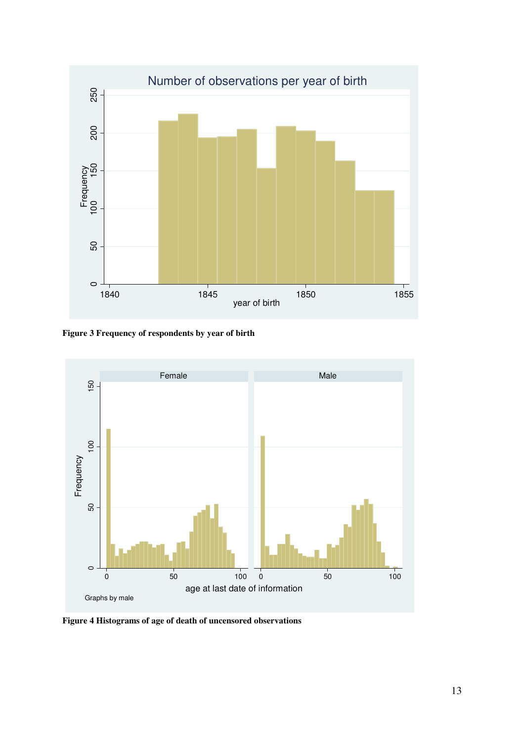

**Figure 3 Frequency of respondents by year of birth** 



**Figure 4 Histograms of age of death of uncensored observations**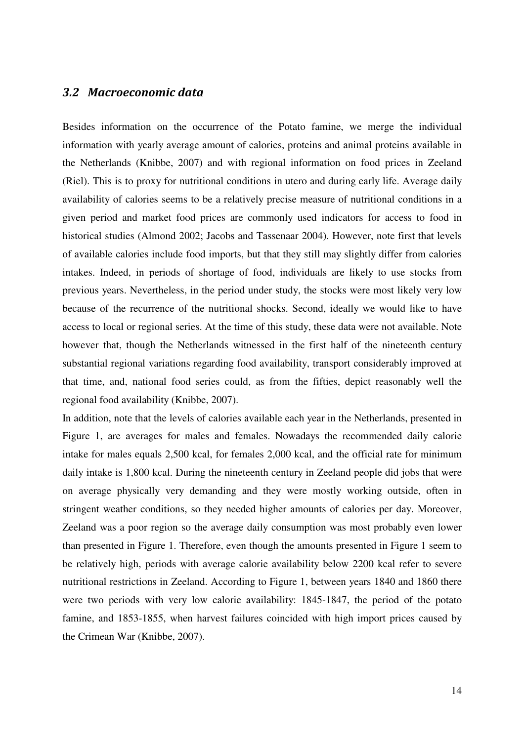### 3.2 Macroeconomic data

Besides information on the occurrence of the Potato famine, we merge the individual information with yearly average amount of calories, proteins and animal proteins available in the Netherlands (Knibbe, 2007) and with regional information on food prices in Zeeland (Riel). This is to proxy for nutritional conditions in utero and during early life. Average daily availability of calories seems to be a relatively precise measure of nutritional conditions in a given period and market food prices are commonly used indicators for access to food in historical studies (Almond 2002; Jacobs and Tassenaar 2004). However, note first that levels of available calories include food imports, but that they still may slightly differ from calories intakes. Indeed, in periods of shortage of food, individuals are likely to use stocks from previous years. Nevertheless, in the period under study, the stocks were most likely very low because of the recurrence of the nutritional shocks. Second, ideally we would like to have access to local or regional series. At the time of this study, these data were not available. Note however that, though the Netherlands witnessed in the first half of the nineteenth century substantial regional variations regarding food availability, transport considerably improved at that time, and, national food series could, as from the fifties, depict reasonably well the regional food availability (Knibbe, 2007).

In addition, note that the levels of calories available each year in the Netherlands, presented in Figure 1, are averages for males and females. Nowadays the recommended daily calorie intake for males equals 2,500 kcal, for females 2,000 kcal, and the official rate for minimum daily intake is 1,800 kcal. During the nineteenth century in Zeeland people did jobs that were on average physically very demanding and they were mostly working outside, often in stringent weather conditions, so they needed higher amounts of calories per day. Moreover, Zeeland was a poor region so the average daily consumption was most probably even lower than presented in Figure 1. Therefore, even though the amounts presented in Figure 1 seem to be relatively high, periods with average calorie availability below 2200 kcal refer to severe nutritional restrictions in Zeeland. According to Figure 1, between years 1840 and 1860 there were two periods with very low calorie availability: 1845-1847, the period of the potato famine, and 1853-1855, when harvest failures coincided with high import prices caused by the Crimean War (Knibbe, 2007).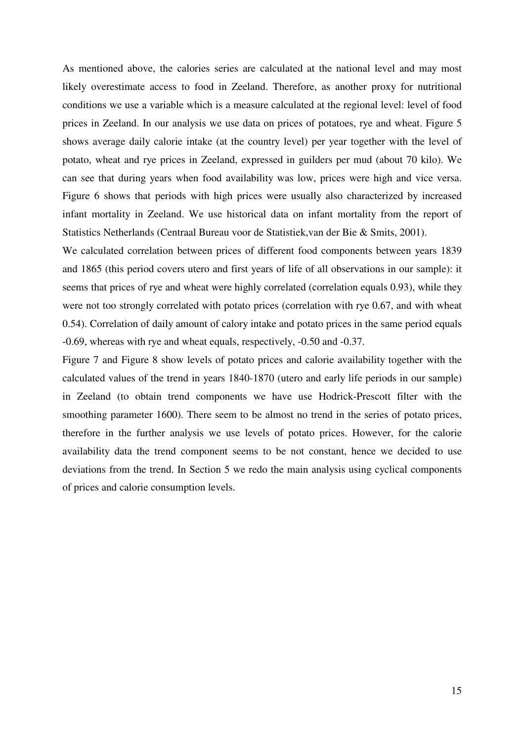As mentioned above, the calories series are calculated at the national level and may most likely overestimate access to food in Zeeland. Therefore, as another proxy for nutritional conditions we use a variable which is a measure calculated at the regional level: level of food prices in Zeeland. In our analysis we use data on prices of potatoes, rye and wheat. Figure 5 shows average daily calorie intake (at the country level) per year together with the level of potato, wheat and rye prices in Zeeland, expressed in guilders per mud (about 70 kilo). We can see that during years when food availability was low, prices were high and vice versa. Figure 6 shows that periods with high prices were usually also characterized by increased infant mortality in Zeeland. We use historical data on infant mortality from the report of Statistics Netherlands (Centraal Bureau voor de Statistiek,van der Bie & Smits, 2001).

We calculated correlation between prices of different food components between years 1839 and 1865 (this period covers utero and first years of life of all observations in our sample): it seems that prices of rye and wheat were highly correlated (correlation equals 0.93), while they were not too strongly correlated with potato prices (correlation with rye 0.67, and with wheat 0.54). Correlation of daily amount of calory intake and potato prices in the same period equals -0.69, whereas with rye and wheat equals, respectively, -0.50 and -0.37.

Figure 7 and Figure 8 show levels of potato prices and calorie availability together with the calculated values of the trend in years 1840-1870 (utero and early life periods in our sample) in Zeeland (to obtain trend components we have use Hodrick-Prescott filter with the smoothing parameter 1600). There seem to be almost no trend in the series of potato prices, therefore in the further analysis we use levels of potato prices. However, for the calorie availability data the trend component seems to be not constant, hence we decided to use deviations from the trend. In Section 5 we redo the main analysis using cyclical components of prices and calorie consumption levels.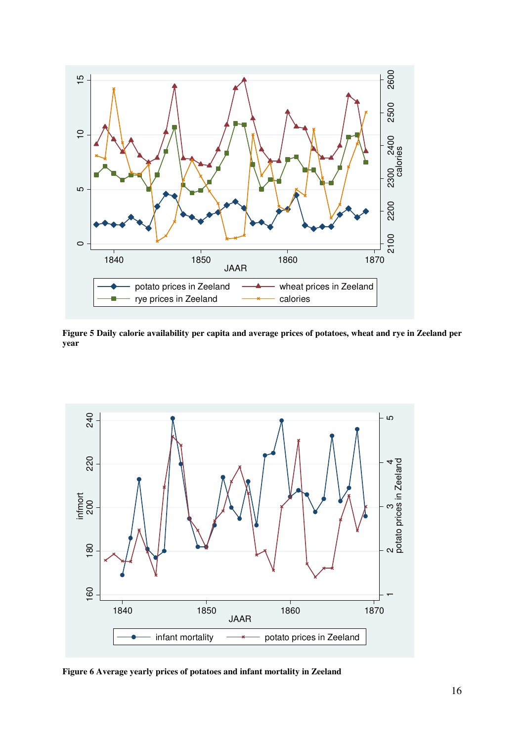

**Figure 5 Daily calorie availability per capita and average prices of potatoes, wheat and rye in Zeeland per year** 



**Figure 6 Average yearly prices of potatoes and infant mortality in Zeeland**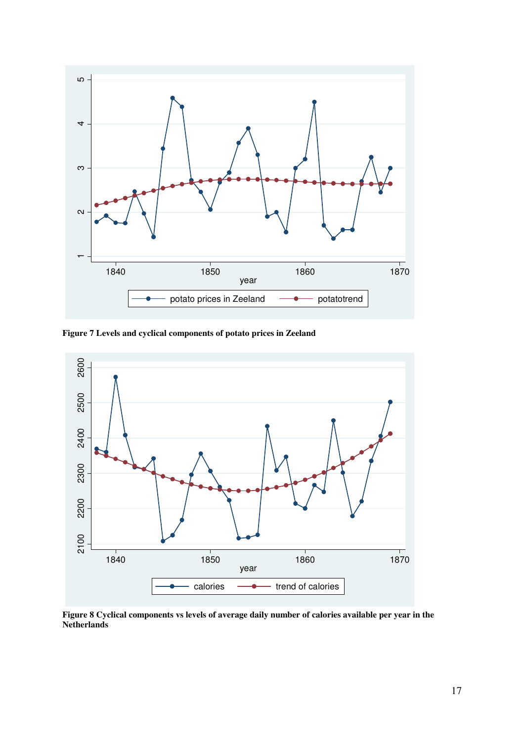

**Figure 7 Levels and cyclical components of potato prices in Zeeland** 



**Figure 8 Cyclical components vs levels of average daily number of calories available per year in the Netherlands**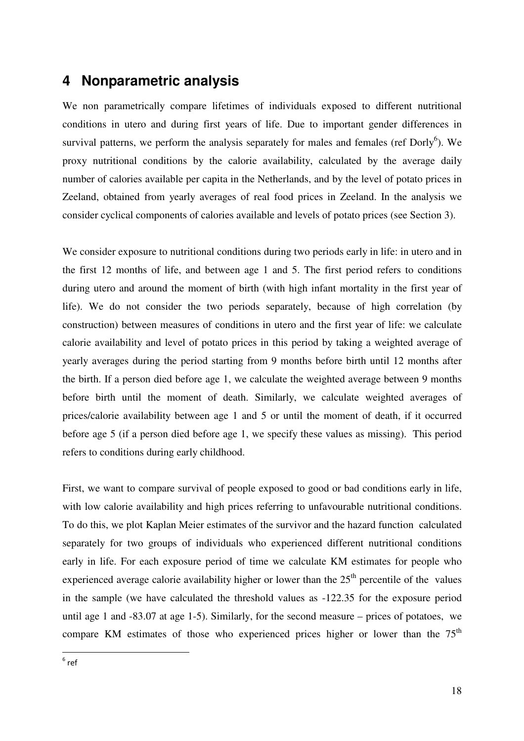## **4 Nonparametric analysis**

We non parametrically compare lifetimes of individuals exposed to different nutritional conditions in utero and during first years of life. Due to important gender differences in survival patterns, we perform the analysis separately for males and females (ref Dorly $6$ ). We proxy nutritional conditions by the calorie availability, calculated by the average daily number of calories available per capita in the Netherlands, and by the level of potato prices in Zeeland, obtained from yearly averages of real food prices in Zeeland. In the analysis we consider cyclical components of calories available and levels of potato prices (see Section 3).

We consider exposure to nutritional conditions during two periods early in life: in utero and in the first 12 months of life, and between age 1 and 5. The first period refers to conditions during utero and around the moment of birth (with high infant mortality in the first year of life). We do not consider the two periods separately, because of high correlation (by construction) between measures of conditions in utero and the first year of life: we calculate calorie availability and level of potato prices in this period by taking a weighted average of yearly averages during the period starting from 9 months before birth until 12 months after the birth. If a person died before age 1, we calculate the weighted average between 9 months before birth until the moment of death. Similarly, we calculate weighted averages of prices/calorie availability between age 1 and 5 or until the moment of death, if it occurred before age 5 (if a person died before age 1, we specify these values as missing). This period refers to conditions during early childhood.

First, we want to compare survival of people exposed to good or bad conditions early in life, with low calorie availability and high prices referring to unfavourable nutritional conditions. To do this, we plot Kaplan Meier estimates of the survivor and the hazard function calculated separately for two groups of individuals who experienced different nutritional conditions early in life. For each exposure period of time we calculate KM estimates for people who experienced average calorie availability higher or lower than the  $25<sup>th</sup>$  percentile of the values in the sample (we have calculated the threshold values as -122.35 for the exposure period until age 1 and -83.07 at age 1-5). Similarly, for the second measure – prices of potatoes, we compare KM estimates of those who experienced prices higher or lower than the  $75<sup>th</sup>$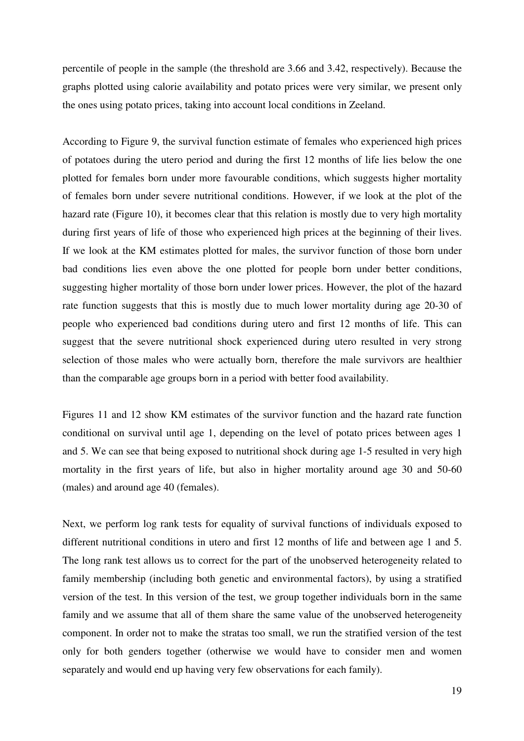percentile of people in the sample (the threshold are 3.66 and 3.42, respectively). Because the graphs plotted using calorie availability and potato prices were very similar, we present only the ones using potato prices, taking into account local conditions in Zeeland.

According to Figure 9, the survival function estimate of females who experienced high prices of potatoes during the utero period and during the first 12 months of life lies below the one plotted for females born under more favourable conditions, which suggests higher mortality of females born under severe nutritional conditions. However, if we look at the plot of the hazard rate (Figure 10), it becomes clear that this relation is mostly due to very high mortality during first years of life of those who experienced high prices at the beginning of their lives. If we look at the KM estimates plotted for males, the survivor function of those born under bad conditions lies even above the one plotted for people born under better conditions, suggesting higher mortality of those born under lower prices. However, the plot of the hazard rate function suggests that this is mostly due to much lower mortality during age 20-30 of people who experienced bad conditions during utero and first 12 months of life. This can suggest that the severe nutritional shock experienced during utero resulted in very strong selection of those males who were actually born, therefore the male survivors are healthier than the comparable age groups born in a period with better food availability.

Figures 11 and 12 show KM estimates of the survivor function and the hazard rate function conditional on survival until age 1, depending on the level of potato prices between ages 1 and 5. We can see that being exposed to nutritional shock during age 1-5 resulted in very high mortality in the first years of life, but also in higher mortality around age 30 and 50-60 (males) and around age 40 (females).

Next, we perform log rank tests for equality of survival functions of individuals exposed to different nutritional conditions in utero and first 12 months of life and between age 1 and 5. The long rank test allows us to correct for the part of the unobserved heterogeneity related to family membership (including both genetic and environmental factors), by using a stratified version of the test. In this version of the test, we group together individuals born in the same family and we assume that all of them share the same value of the unobserved heterogeneity component. In order not to make the stratas too small, we run the stratified version of the test only for both genders together (otherwise we would have to consider men and women separately and would end up having very few observations for each family).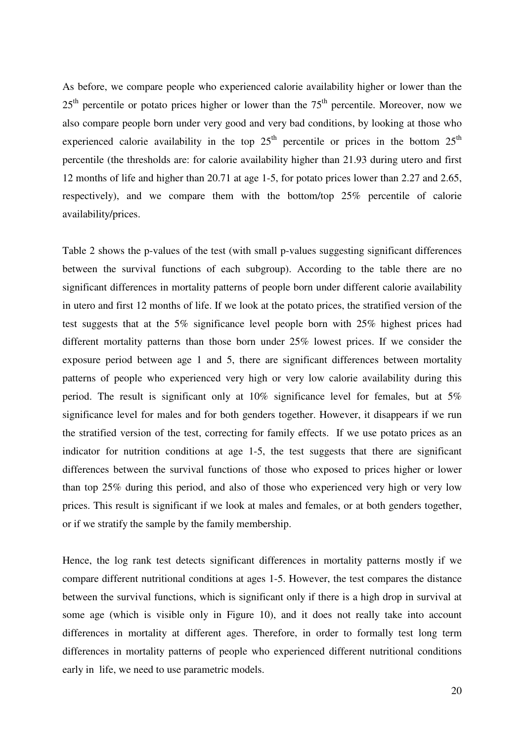As before, we compare people who experienced calorie availability higher or lower than the  $25<sup>th</sup>$  percentile or potato prices higher or lower than the  $75<sup>th</sup>$  percentile. Moreover, now we also compare people born under very good and very bad conditions, by looking at those who experienced calorie availability in the top  $25<sup>th</sup>$  percentile or prices in the bottom  $25<sup>th</sup>$ percentile (the thresholds are: for calorie availability higher than 21.93 during utero and first 12 months of life and higher than 20.71 at age 1-5, for potato prices lower than 2.27 and 2.65, respectively), and we compare them with the bottom/top 25% percentile of calorie availability/prices.

Table 2 shows the p-values of the test (with small p-values suggesting significant differences between the survival functions of each subgroup). According to the table there are no significant differences in mortality patterns of people born under different calorie availability in utero and first 12 months of life. If we look at the potato prices, the stratified version of the test suggests that at the 5% significance level people born with 25% highest prices had different mortality patterns than those born under 25% lowest prices. If we consider the exposure period between age 1 and 5, there are significant differences between mortality patterns of people who experienced very high or very low calorie availability during this period. The result is significant only at 10% significance level for females, but at 5% significance level for males and for both genders together. However, it disappears if we run the stratified version of the test, correcting for family effects. If we use potato prices as an indicator for nutrition conditions at age 1-5, the test suggests that there are significant differences between the survival functions of those who exposed to prices higher or lower than top 25% during this period, and also of those who experienced very high or very low prices. This result is significant if we look at males and females, or at both genders together, or if we stratify the sample by the family membership.

Hence, the log rank test detects significant differences in mortality patterns mostly if we compare different nutritional conditions at ages 1-5. However, the test compares the distance between the survival functions, which is significant only if there is a high drop in survival at some age (which is visible only in Figure 10), and it does not really take into account differences in mortality at different ages. Therefore, in order to formally test long term differences in mortality patterns of people who experienced different nutritional conditions early in life, we need to use parametric models.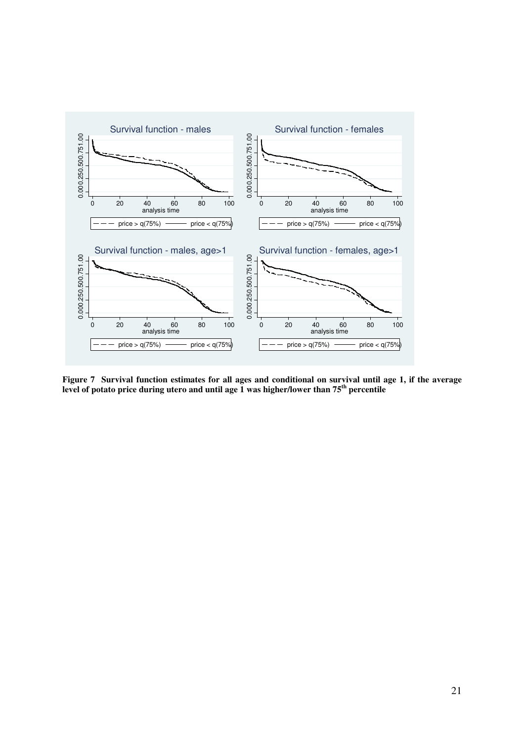

**Figure 7 Survival function estimates for all ages and conditional on survival until age 1, if the average level of potato price during utero and until age 1 was higher/lower than 75th percentile**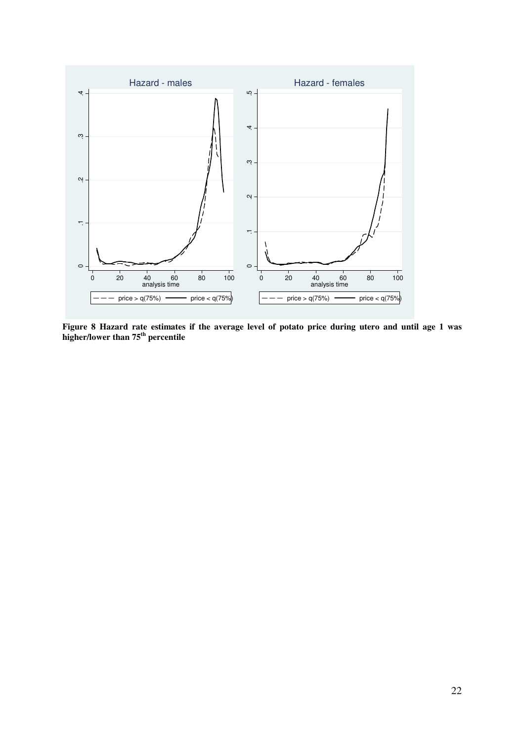

**Figure 8 Hazard rate estimates if the average level of potato price during utero and until age 1 was higher/lower than 75th percentile**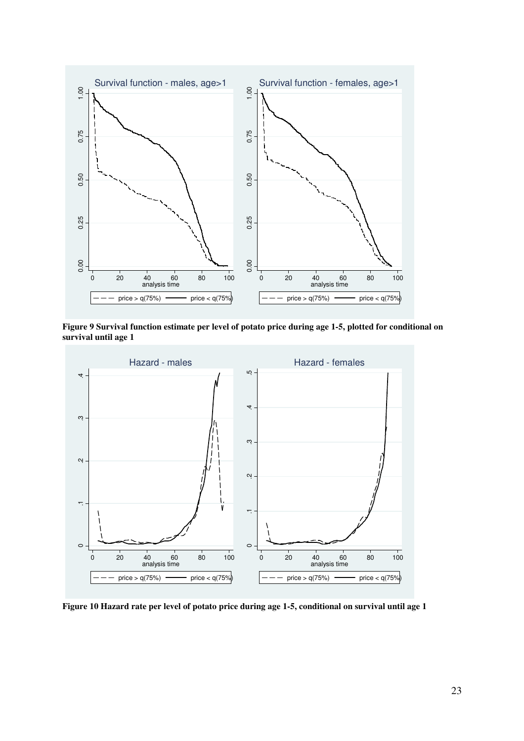

**Figure 9 Survival function estimate per level of potato price during age 1-5, plotted for conditional on survival until age 1** 



**Figure 10 Hazard rate per level of potato price during age 1-5, conditional on survival until age 1**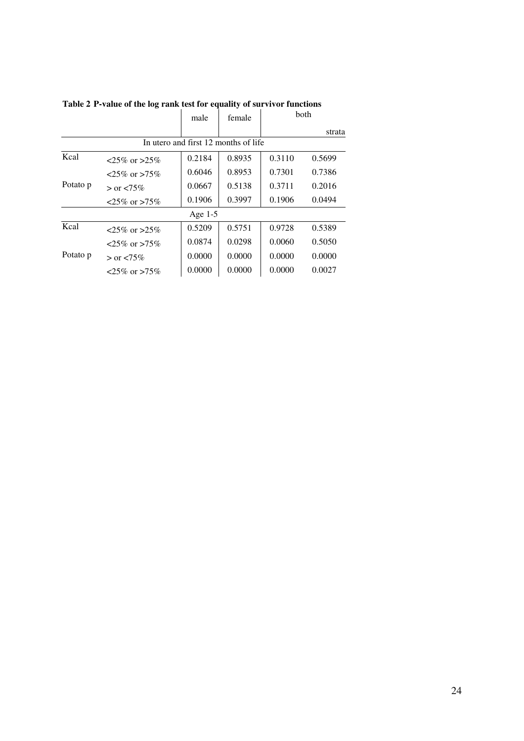|          |                      | male      | female                               | both   |        |
|----------|----------------------|-----------|--------------------------------------|--------|--------|
|          |                      |           |                                      |        | strata |
|          |                      |           | In utero and first 12 months of life |        |        |
| Kcal     | $< 25\%$ or $> 25\%$ | 0.2184    | 0.8935                               | 0.3110 | 0.5699 |
|          | $< 25\%$ or $> 75\%$ | 0.6046    | 0.8953                               | 0.7301 | 0.7386 |
| Potato p | $>$ or $< 75\%$      | 0.0667    | 0.5138                               | 0.3711 | 0.2016 |
|          | $25\%$ or $>75\%$    | 0.1906    | 0.3997                               | 0.1906 | 0.0494 |
|          |                      | Age $1-5$ |                                      |        |        |
| Kcal     | $< 25\%$ or $> 25\%$ | 0.5209    | 0.5751                               | 0.9728 | 0.5389 |
|          | $< 25\%$ or $> 75\%$ | 0.0874    | 0.0298                               | 0.0060 | 0.5050 |
| Potato p | $>$ or $< 75\%$      | 0.0000    | 0.0000                               | 0.0000 | 0.0000 |
|          | $< 25\%$ or $> 75\%$ | 0.0000    | 0.0000                               | 0.0000 | 0.0027 |

**Table 2 P-value of the log rank test for equality of survivor functions**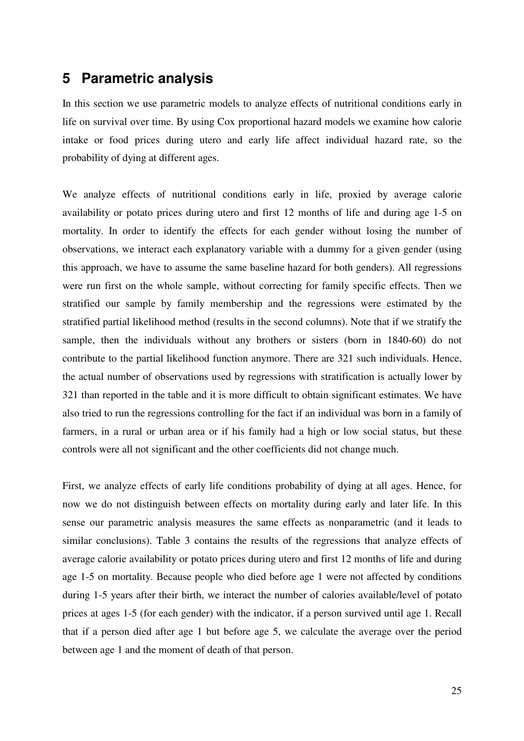## **5 Parametric analysis**

In this section we use parametric models to analyze effects of nutritional conditions early in life on survival over time. By using Cox proportional hazard models we examine how calorie intake or food prices during utero and early life affect individual hazard rate, so the probability of dying at different ages.

We analyze effects of nutritional conditions early in life, proxied by average calorie availability or potato prices during utero and first 12 months of life and during age 1-5 on mortality. In order to identify the effects for each gender without losing the number of observations, we interact each explanatory variable with a dummy for a given gender (using this approach, we have to assume the same baseline hazard for both genders). All regressions were run first on the whole sample, without correcting for family specific effects. Then we stratified our sample by family membership and the regressions were estimated by the stratified partial likelihood method (results in the second columns). Note that if we stratify the sample, then the individuals without any brothers or sisters (born in 1840-60) do not contribute to the partial likelihood function anymore. There are 321 such individuals. Hence, the actual number of observations used by regressions with stratification is actually lower by 321 than reported in the table and it is more difficult to obtain significant estimates. We have also tried to run the regressions controlling for the fact if an individual was born in a family of farmers, in a rural or urban area or if his family had a high or low social status, but these controls were all not significant and the other coefficients did not change much.

First, we analyze effects of early life conditions probability of dying at all ages. Hence, for now we do not distinguish between effects on mortality during early and later life. In this sense our parametric analysis measures the same effects as nonparametric (and it leads to similar conclusions). Table 3 contains the results of the regressions that analyze effects of average calorie availability or potato prices during utero and first 12 months of life and during age 1-5 on mortality. Because people who died before age 1 were not affected by conditions during 1-5 years after their birth, we interact the number of calories available/level of potato prices at ages 1-5 (for each gender) with the indicator, if a person survived until age 1. Recall that if a person died after age 1 but before age 5, we calculate the average over the period between age 1 and the moment of death of that person.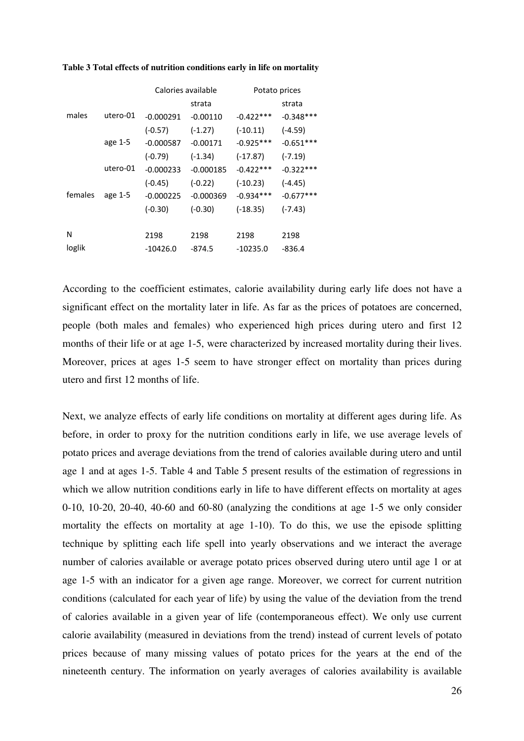|         |          | Calories available |             | Potato prices |             |  |
|---------|----------|--------------------|-------------|---------------|-------------|--|
|         |          |                    | strata      |               | strata      |  |
| males   | utero-01 | $-0.000291$        | $-0.00110$  | $-0.422***$   | $-0.348***$ |  |
|         |          | $(-0.57)$          | $(-1.27)$   | $(-10.11)$    | $(-4.59)$   |  |
|         | age 1-5  | $-0.000587$        | $-0.00171$  | $-0.925***$   | $-0.651***$ |  |
|         |          | $(-0.79)$          | $(-1.34)$   | $(-17.87)$    | $(-7.19)$   |  |
|         | utero-01 | $-0.000233$        | $-0.000185$ | $-0.422***$   | $-0.322***$ |  |
|         |          | $(-0.45)$          | $(-0.22)$   | $(-10.23)$    | $(-4.45)$   |  |
| females | age 1-5  | $-0.000225$        | $-0.000369$ | $-0.934***$   | $-0.677***$ |  |
|         |          | $(-0.30)$          | $(-0.30)$   | $(-18.35)$    | $(-7.43)$   |  |
|         |          |                    |             |               |             |  |
| N       |          | 2198               | 2198        | 2198          | 2198        |  |
| loglik  |          | $-10426.0$         | $-874.5$    | $-10235.0$    | $-836.4$    |  |

#### **Table 3 Total effects of nutrition conditions early in life on mortality**

According to the coefficient estimates, calorie availability during early life does not have a significant effect on the mortality later in life. As far as the prices of potatoes are concerned, people (both males and females) who experienced high prices during utero and first 12 months of their life or at age 1-5, were characterized by increased mortality during their lives. Moreover, prices at ages 1-5 seem to have stronger effect on mortality than prices during utero and first 12 months of life.

Next, we analyze effects of early life conditions on mortality at different ages during life. As before, in order to proxy for the nutrition conditions early in life, we use average levels of potato prices and average deviations from the trend of calories available during utero and until age 1 and at ages 1-5. Table 4 and Table 5 present results of the estimation of regressions in which we allow nutrition conditions early in life to have different effects on mortality at ages 0-10, 10-20, 20-40, 40-60 and 60-80 (analyzing the conditions at age 1-5 we only consider mortality the effects on mortality at age 1-10). To do this, we use the episode splitting technique by splitting each life spell into yearly observations and we interact the average number of calories available or average potato prices observed during utero until age 1 or at age 1-5 with an indicator for a given age range. Moreover, we correct for current nutrition conditions (calculated for each year of life) by using the value of the deviation from the trend of calories available in a given year of life (contemporaneous effect). We only use current calorie availability (measured in deviations from the trend) instead of current levels of potato prices because of many missing values of potato prices for the years at the end of the nineteenth century. The information on yearly averages of calories availability is available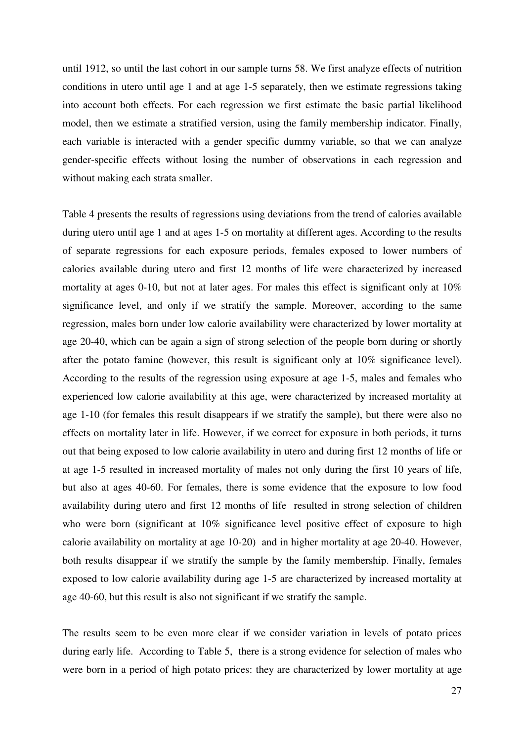until 1912, so until the last cohort in our sample turns 58. We first analyze effects of nutrition conditions in utero until age 1 and at age 1-5 separately, then we estimate regressions taking into account both effects. For each regression we first estimate the basic partial likelihood model, then we estimate a stratified version, using the family membership indicator. Finally, each variable is interacted with a gender specific dummy variable, so that we can analyze gender-specific effects without losing the number of observations in each regression and without making each strata smaller.

Table 4 presents the results of regressions using deviations from the trend of calories available during utero until age 1 and at ages 1-5 on mortality at different ages. According to the results of separate regressions for each exposure periods, females exposed to lower numbers of calories available during utero and first 12 months of life were characterized by increased mortality at ages 0-10, but not at later ages. For males this effect is significant only at 10% significance level, and only if we stratify the sample. Moreover, according to the same regression, males born under low calorie availability were characterized by lower mortality at age 20-40, which can be again a sign of strong selection of the people born during or shortly after the potato famine (however, this result is significant only at 10% significance level). According to the results of the regression using exposure at age 1-5, males and females who experienced low calorie availability at this age, were characterized by increased mortality at age 1-10 (for females this result disappears if we stratify the sample), but there were also no effects on mortality later in life. However, if we correct for exposure in both periods, it turns out that being exposed to low calorie availability in utero and during first 12 months of life or at age 1-5 resulted in increased mortality of males not only during the first 10 years of life, but also at ages 40-60. For females, there is some evidence that the exposure to low food availability during utero and first 12 months of life resulted in strong selection of children who were born (significant at 10% significance level positive effect of exposure to high calorie availability on mortality at age 10-20) and in higher mortality at age 20-40. However, both results disappear if we stratify the sample by the family membership. Finally, females exposed to low calorie availability during age 1-5 are characterized by increased mortality at age 40-60, but this result is also not significant if we stratify the sample.

The results seem to be even more clear if we consider variation in levels of potato prices during early life. According to Table 5, there is a strong evidence for selection of males who were born in a period of high potato prices: they are characterized by lower mortality at age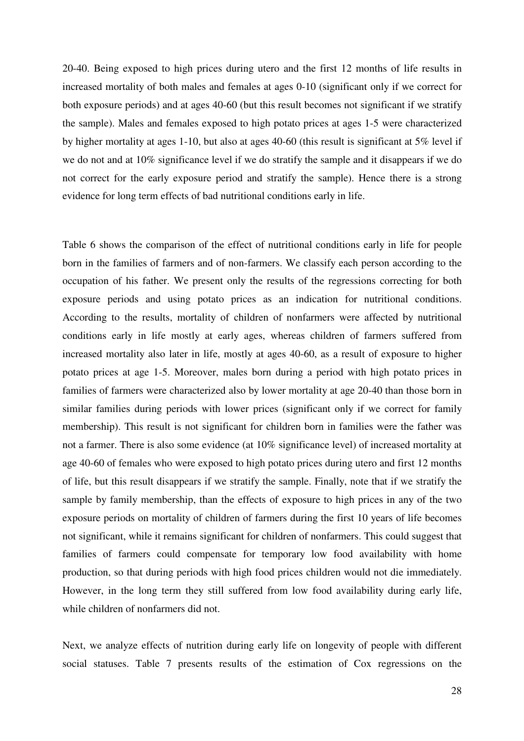20-40. Being exposed to high prices during utero and the first 12 months of life results in increased mortality of both males and females at ages 0-10 (significant only if we correct for both exposure periods) and at ages 40-60 (but this result becomes not significant if we stratify the sample). Males and females exposed to high potato prices at ages 1-5 were characterized by higher mortality at ages 1-10, but also at ages 40-60 (this result is significant at 5% level if we do not and at 10% significance level if we do stratify the sample and it disappears if we do not correct for the early exposure period and stratify the sample). Hence there is a strong evidence for long term effects of bad nutritional conditions early in life.

Table 6 shows the comparison of the effect of nutritional conditions early in life for people born in the families of farmers and of non-farmers. We classify each person according to the occupation of his father. We present only the results of the regressions correcting for both exposure periods and using potato prices as an indication for nutritional conditions. According to the results, mortality of children of nonfarmers were affected by nutritional conditions early in life mostly at early ages, whereas children of farmers suffered from increased mortality also later in life, mostly at ages 40-60, as a result of exposure to higher potato prices at age 1-5. Moreover, males born during a period with high potato prices in families of farmers were characterized also by lower mortality at age 20-40 than those born in similar families during periods with lower prices (significant only if we correct for family membership). This result is not significant for children born in families were the father was not a farmer. There is also some evidence (at 10% significance level) of increased mortality at age 40-60 of females who were exposed to high potato prices during utero and first 12 months of life, but this result disappears if we stratify the sample. Finally, note that if we stratify the sample by family membership, than the effects of exposure to high prices in any of the two exposure periods on mortality of children of farmers during the first 10 years of life becomes not significant, while it remains significant for children of nonfarmers. This could suggest that families of farmers could compensate for temporary low food availability with home production, so that during periods with high food prices children would not die immediately. However, in the long term they still suffered from low food availability during early life, while children of nonfarmers did not.

Next, we analyze effects of nutrition during early life on longevity of people with different social statuses. Table 7 presents results of the estimation of Cox regressions on the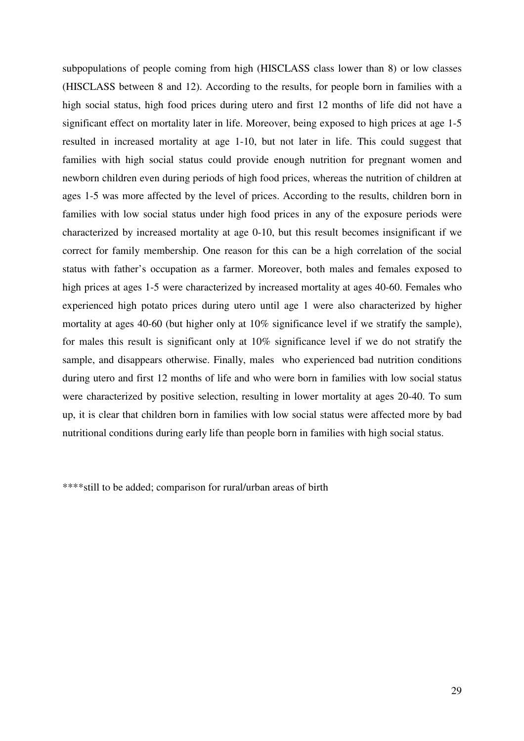subpopulations of people coming from high (HISCLASS class lower than 8) or low classes (HISCLASS between 8 and 12). According to the results, for people born in families with a high social status, high food prices during utero and first 12 months of life did not have a significant effect on mortality later in life. Moreover, being exposed to high prices at age 1-5 resulted in increased mortality at age 1-10, but not later in life. This could suggest that families with high social status could provide enough nutrition for pregnant women and newborn children even during periods of high food prices, whereas the nutrition of children at ages 1-5 was more affected by the level of prices. According to the results, children born in families with low social status under high food prices in any of the exposure periods were characterized by increased mortality at age 0-10, but this result becomes insignificant if we correct for family membership. One reason for this can be a high correlation of the social status with father's occupation as a farmer. Moreover, both males and females exposed to high prices at ages 1-5 were characterized by increased mortality at ages 40-60. Females who experienced high potato prices during utero until age 1 were also characterized by higher mortality at ages 40-60 (but higher only at 10% significance level if we stratify the sample), for males this result is significant only at 10% significance level if we do not stratify the sample, and disappears otherwise. Finally, males who experienced bad nutrition conditions during utero and first 12 months of life and who were born in families with low social status were characterized by positive selection, resulting in lower mortality at ages 20-40. To sum up, it is clear that children born in families with low social status were affected more by bad nutritional conditions during early life than people born in families with high social status.

\*\*\*\*still to be added; comparison for rural/urban areas of birth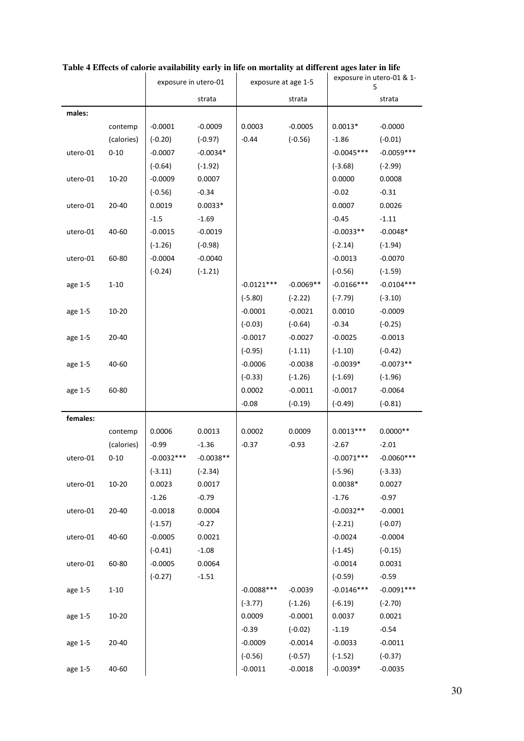|          |            | exposure in utero-01 |             | exposure at age 1-5 |             | exposure in utero-01 & 1-<br>5 |               |
|----------|------------|----------------------|-------------|---------------------|-------------|--------------------------------|---------------|
|          |            |                      | strata      |                     | strata      |                                | strata        |
| males:   |            |                      |             |                     |             |                                |               |
|          | contemp    | $-0.0001$            | $-0.0009$   | 0.0003              | $-0.0005$   | $0.0013*$                      | $-0.0000$     |
|          | (calories) | $(-0.20)$            | $(-0.97)$   | $-0.44$             | $(-0.56)$   | $-1.86$                        | $(-0.01)$     |
| utero-01 | $0 - 10$   | $-0.0007$            | $-0.0034*$  |                     |             | $-0.0045***$                   | $-0.0059***$  |
|          |            | $(-0.64)$            | $(-1.92)$   |                     |             | $(-3.68)$                      | $(-2.99)$     |
| utero-01 | $10 - 20$  | $-0.0009$            | 0.0007      |                     |             | 0.0000                         | 0.0008        |
|          |            | $(-0.56)$            | $-0.34$     |                     |             | $-0.02$                        | $-0.31$       |
| utero-01 | 20-40      | 0.0019               | $0.0033*$   |                     |             | 0.0007                         | 0.0026        |
|          |            | $-1.5$               | $-1.69$     |                     |             | $-0.45$                        | $-1.11$       |
| utero-01 | 40-60      | $-0.0015$            | $-0.0019$   |                     |             | $-0.0033**$                    | $-0.0048*$    |
|          |            | $(-1.26)$            | $(-0.98)$   |                     |             | $(-2.14)$                      | $(-1.94)$     |
| utero-01 | 60-80      | $-0.0004$            | $-0.0040$   |                     |             | $-0.0013$                      | $-0.0070$     |
|          |            | $(-0.24)$            | $(-1.21)$   |                     |             | $(-0.56)$                      | $(-1.59)$     |
| age 1-5  | $1 - 10$   |                      |             | $-0.0121***$        | $-0.0069**$ | $-0.0166***$                   | $-0.0104***$  |
|          |            |                      |             | $(-5.80)$           | $(-2.22)$   | $(-7.79)$                      | $(-3.10)$     |
| age 1-5  | $10 - 20$  |                      |             | $-0.0001$           | $-0.0021$   | 0.0010                         | $-0.0009$     |
|          |            |                      |             | $(-0.03)$           | $(-0.64)$   | $-0.34$                        | $(-0.25)$     |
| age 1-5  | 20-40      |                      |             | $-0.0017$           | $-0.0027$   | $-0.0025$                      | $-0.0013$     |
|          |            |                      |             | $(-0.95)$           | $(-1.11)$   | $(-1.10)$                      | $(-0.42)$     |
| age 1-5  | 40-60      |                      |             | $-0.0006$           | $-0.0038$   | $-0.0039*$                     | $-0.0073**$   |
|          |            |                      |             | $(-0.33)$           | $(-1.26)$   | $(-1.69)$                      | $(-1.96)$     |
| age 1-5  | 60-80      |                      |             | 0.0002              | $-0.0011$   | $-0.0017$                      | $-0.0064$     |
|          |            |                      |             | $-0.08$             | $(-0.19)$   | $(-0.49)$                      | $(-0.81)$     |
| females: |            |                      |             |                     |             |                                |               |
|          | contemp    | 0.0006               | 0.0013      | 0.0002              | 0.0009      | $0.0013***$                    | $0.0000**$    |
|          | (calories) | $-0.99$              | $-1.36$     | $-0.37$             | $-0.93$     | $-2.67$                        | $-2.01$       |
| utero-01 | $0 - 10$   | $-0.0032***$         | $-0.0038**$ |                     |             | $-0.0071***$                   | $-0.0060$ *** |
|          |            | $(-3.11)$            | $(-2.34)$   |                     |             | $(-5.96)$                      | $(-3.33)$     |
| utero-01 | $10 - 20$  | 0.0023               | 0.0017      |                     |             | $0.0038*$                      | 0.0027        |
|          |            | $-1.26$              | $-0.79$     |                     |             | $-1.76$                        | $-0.97$       |
| utero-01 | $20 - 40$  | $-0.0018$            | 0.0004      |                     |             | $-0.0032**$                    | $-0.0001$     |
|          |            | $(-1.57)$            | $-0.27$     |                     |             | $(-2.21)$                      | $(-0.07)$     |
| utero-01 | $40 - 60$  | $-0.0005$            | 0.0021      |                     |             | $-0.0024$                      | $-0.0004$     |
|          |            | $(-0.41)$            | $-1.08$     |                     |             | $(-1.45)$                      | $(-0.15)$     |
| utero-01 | 60-80      | $-0.0005$            | 0.0064      |                     |             | $-0.0014$                      | 0.0031        |
|          |            | $(-0.27)$            | $-1.51$     |                     |             | $(-0.59)$                      | $-0.59$       |
| age 1-5  | $1 - 10$   |                      |             | $-0.0088$ ***       | $-0.0039$   | $-0.0146***$                   | $-0.0091***$  |
|          |            |                      |             | $(-3.77)$           | $(-1.26)$   | $(-6.19)$                      | $(-2.70)$     |
| age 1-5  | $10 - 20$  |                      |             | 0.0009              | $-0.0001$   | 0.0037                         | 0.0021        |
|          |            |                      |             | $-0.39$             | $(-0.02)$   | $-1.19$                        | $-0.54$       |
| age 1-5  | 20-40      |                      |             | $-0.0009$           | $-0.0014$   | $-0.0033$                      | $-0.0011$     |
|          |            |                      |             | $(-0.56)$           | $(-0.57)$   | $(-1.52)$                      | $(-0.37)$     |
| age 1-5  | $40 - 60$  |                      |             | $-0.0011$           | $-0.0018$   | $-0.0039*$                     | $-0.0035$     |
|          |            |                      |             |                     |             |                                |               |

#### **Table 4 Effects of calorie availability early in life on mortality at different ages later in life**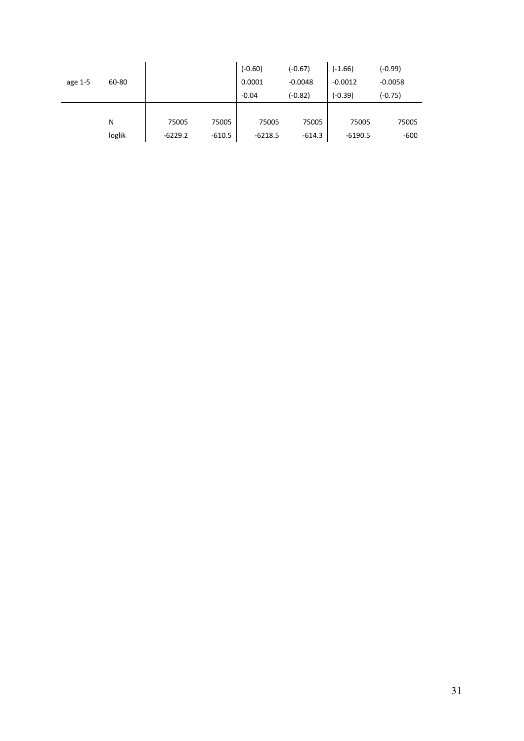| age 1-5 | 60-80  |           |          | $(-0.60)$<br>0.0001<br>$-0.04$ | $(-0.67)$<br>$-0.0048$<br>$(-0.82)$ | $(-1.66)$<br>$-0.0012$<br>$(-0.39)$ | (-0.99)<br>$-0.0058$<br>(-0.75) |
|---------|--------|-----------|----------|--------------------------------|-------------------------------------|-------------------------------------|---------------------------------|
|         | N      | 75005     | 75005    | 75005                          | 75005                               | 75005                               | 75005                           |
|         | loglik | $-6229.2$ | $-610.5$ | $-6218.5$                      | $-614.3$                            | $-6190.5$                           | $-600$                          |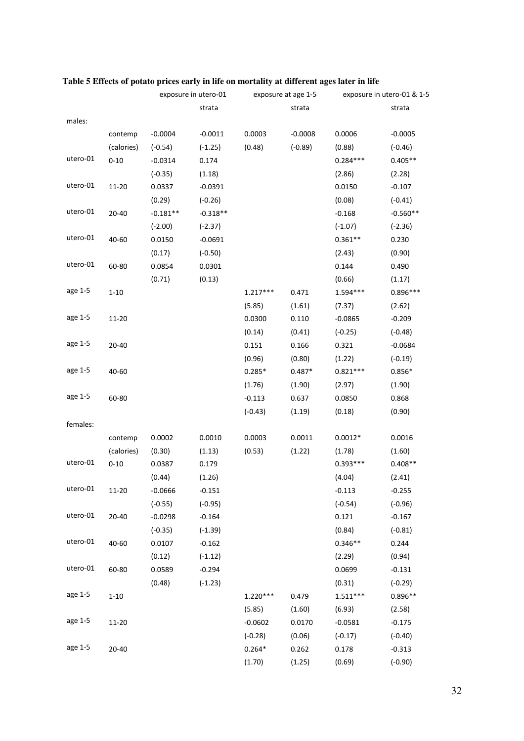|          |            | exposure in utero-01 |            | exposure at age 1-5 |           | exposure in utero-01 & 1-5 |            |
|----------|------------|----------------------|------------|---------------------|-----------|----------------------------|------------|
|          |            |                      | strata     |                     | strata    |                            | strata     |
| males:   |            |                      |            |                     |           |                            |            |
|          | contemp    | $-0.0004$            | $-0.0011$  | 0.0003              | $-0.0008$ | 0.0006                     | $-0.0005$  |
|          | (calories) | $(-0.54)$            | $(-1.25)$  | (0.48)              | $(-0.89)$ | (0.88)                     | $(-0.46)$  |
| utero-01 | $0 - 10$   | $-0.0314$            | 0.174      |                     |           | $0.284***$                 | $0.405**$  |
|          |            | $(-0.35)$            | (1.18)     |                     |           | (2.86)                     | (2.28)     |
| utero-01 | 11-20      | 0.0337               | $-0.0391$  |                     |           | 0.0150                     | $-0.107$   |
|          |            | (0.29)               | $(-0.26)$  |                     |           | (0.08)                     | $(-0.41)$  |
| utero-01 | $20 - 40$  | $-0.181**$           | $-0.318**$ |                     |           | $-0.168$                   | $-0.560**$ |
|          |            | $(-2.00)$            | $(-2.37)$  |                     |           | $(-1.07)$                  | $(-2.36)$  |
| utero-01 | 40-60      | 0.0150               | $-0.0691$  |                     |           | $0.361**$                  | 0.230      |
|          |            | (0.17)               | $(-0.50)$  |                     |           | (2.43)                     | (0.90)     |
| utero-01 | 60-80      | 0.0854               | 0.0301     |                     |           | 0.144                      | 0.490      |
|          |            | (0.71)               | (0.13)     |                     |           | (0.66)                     | (1.17)     |
| age 1-5  | $1 - 10$   |                      |            | $1.217***$          | 0.471     | 1.594***                   | $0.896***$ |
|          |            |                      |            | (5.85)              | (1.61)    | (7.37)                     | (2.62)     |
| age 1-5  | 11-20      |                      |            | 0.0300              | 0.110     | $-0.0865$                  | $-0.209$   |
|          |            |                      |            | (0.14)              | (0.41)    | $(-0.25)$                  | $(-0.48)$  |
| age 1-5  | 20-40      |                      |            | 0.151               | 0.166     | 0.321                      | $-0.0684$  |
|          |            |                      |            | (0.96)              | (0.80)    | (1.22)                     | $(-0.19)$  |
| age 1-5  | 40-60      |                      |            | $0.285*$            | $0.487*$  | $0.821***$                 | $0.856*$   |
|          |            |                      |            | (1.76)              | (1.90)    | (2.97)                     | (1.90)     |
| age 1-5  | 60-80      |                      |            | $-0.113$            | 0.637     | 0.0850                     | 0.868      |
|          |            |                      |            | $(-0.43)$           | (1.19)    | (0.18)                     | (0.90)     |
| females: |            |                      |            |                     |           |                            |            |
|          | contemp    | 0.0002               | 0.0010     | 0.0003              | 0.0011    | $0.0012*$                  | 0.0016     |
|          | (calories) | (0.30)               | (1.13)     | (0.53)              | (1.22)    | (1.78)                     | (1.60)     |
| utero-01 | $0 - 10$   | 0.0387               | 0.179      |                     |           | $0.393***$                 | $0.408**$  |
|          |            | (0.44)               | (1.26)     |                     |           | (4.04)                     | (2.41)     |
| utero-01 | $11 - 20$  | $-0.0666$            | $-0.151$   |                     |           | $-0.113$                   | $-0.255$   |
|          |            | $(-0.55)$            | $(-0.95)$  |                     |           | $(-0.54)$                  | $(-0.96)$  |
| utero-01 | $20 - 40$  | $-0.0298$            | $-0.164$   |                     |           | 0.121                      | $-0.167$   |
|          |            | $(-0.35)$            | $(-1.39)$  |                     |           | (0.84)                     | $(-0.81)$  |
| utero-01 | 40-60      | 0.0107               | $-0.162$   |                     |           | $0.346**$                  | 0.244      |
|          |            | (0.12)               | $(-1.12)$  |                     |           | (2.29)                     | (0.94)     |
| utero-01 | 60-80      | 0.0589               | $-0.294$   |                     |           | 0.0699                     | $-0.131$   |
|          |            | (0.48)               | $(-1.23)$  |                     |           | (0.31)                     | $(-0.29)$  |
| age 1-5  | $1 - 10$   |                      |            | $1.220***$          | 0.479     | $1.511***$                 | $0.896**$  |
|          |            |                      |            | (5.85)              | (1.60)    | (6.93)                     | (2.58)     |
| age 1-5  | 11-20      |                      |            | $-0.0602$           | 0.0170    | $-0.0581$                  | $-0.175$   |
|          |            |                      |            | $(-0.28)$           | (0.06)    | $(-0.17)$                  | $(-0.40)$  |
| age 1-5  | 20-40      |                      |            | $0.264*$            | 0.262     | 0.178                      | $-0.313$   |
|          |            |                      |            | (1.70)              | (1.25)    | (0.69)                     | $(-0.90)$  |

### **Table 5 Effects of potato prices early in life on mortality at different ages later in life**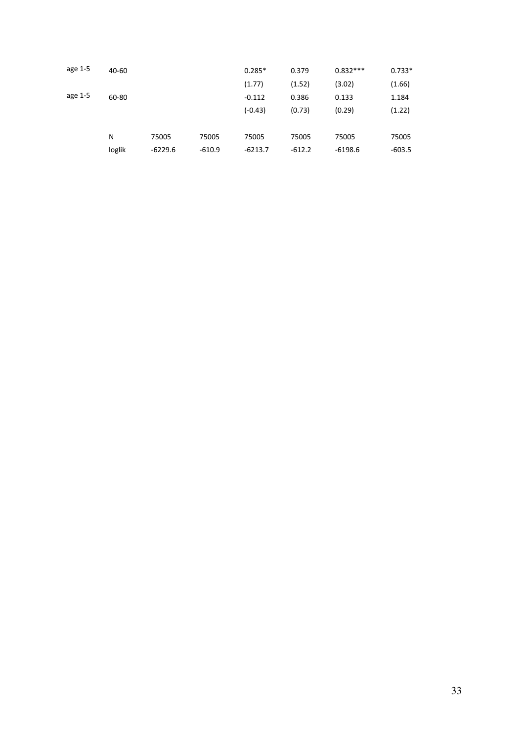| age 1-5 | 40-60  |           |          | $0.285*$  | 0.379    | $0.832***$ | $0.733*$ |
|---------|--------|-----------|----------|-----------|----------|------------|----------|
|         |        |           |          | (1.77)    | (1.52)   | (3.02)     | (1.66)   |
| age 1-5 | 60-80  |           |          | $-0.112$  | 0.386    | 0.133      | 1.184    |
|         |        |           |          | $(-0.43)$ | (0.73)   | (0.29)     | (1.22)   |
|         |        |           |          |           |          |            |          |
|         | N      | 75005     | 75005    | 75005     | 75005    | 75005      | 75005    |
|         | loglik | $-6229.6$ | $-610.9$ | $-6213.7$ | $-612.2$ | $-6198.6$  | $-603.5$ |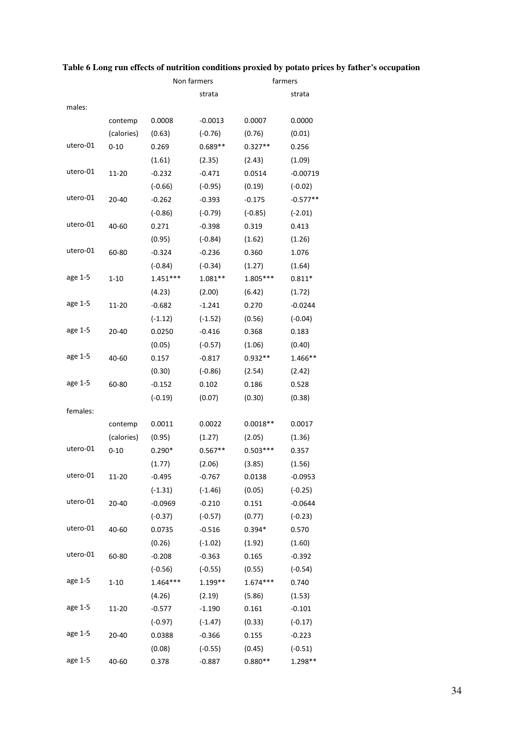|          |            | Non farmers |           | farmers    |            |
|----------|------------|-------------|-----------|------------|------------|
|          |            |             | strata    |            | strata     |
| males:   |            |             |           |            |            |
|          | contemp    | 0.0008      | $-0.0013$ | 0.0007     | 0.0000     |
|          | (calories) | (0.63)      | $(-0.76)$ | (0.76)     | (0.01)     |
| utero-01 | $0 - 10$   | 0.269       | $0.689**$ | $0.327**$  | 0.256      |
|          |            | (1.61)      | (2.35)    | (2.43)     | (1.09)     |
| utero-01 | 11-20      | $-0.232$    | $-0.471$  | 0.0514     | $-0.00719$ |
|          |            | $(-0.66)$   | $(-0.95)$ | (0.19)     | $(-0.02)$  |
| utero-01 | 20-40      | $-0.262$    | $-0.393$  | $-0.175$   | -0.577**   |
|          |            | $(-0.86)$   | $(-0.79)$ | $(-0.85)$  | $(-2.01)$  |
| utero-01 | 40-60      | 0.271       | $-0.398$  | 0.319      | 0.413      |
|          |            | (0.95)      | $(-0.84)$ | (1.62)     | (1.26)     |
| utero-01 | 60-80      | $-0.324$    | $-0.236$  | 0.360      | 1.076      |
|          |            | $(-0.84)$   | $(-0.34)$ | (1.27)     | (1.64)     |
| age 1-5  | $1 - 10$   | $1.451***$  | $1.081**$ | 1.805***   | $0.811*$   |
|          |            | (4.23)      | (2.00)    | (6.42)     | (1.72)     |
| age 1-5  | 11-20      | $-0.682$    | $-1.241$  | 0.270      | $-0.0244$  |
|          |            | $(-1.12)$   | $(-1.52)$ | (0.56)     | $(-0.04)$  |
| age 1-5  | 20-40      | 0.0250      | $-0.416$  | 0.368      | 0.183      |
|          |            | (0.05)      | $(-0.57)$ | (1.06)     | (0.40)     |
| age 1-5  | 40-60      | 0.157       | $-0.817$  | $0.932**$  | 1.466**    |
|          |            | (0.30)      | $(-0.86)$ | (2.54)     | (2.42)     |
| age 1-5  | 60-80      | $-0.152$    | 0.102     | 0.186      | 0.528      |
|          |            | $(-0.19)$   | (0.07)    | (0.30)     | (0.38)     |
| females: |            |             |           |            |            |
|          | contemp    | 0.0011      | 0.0022    | $0.0018**$ | 0.0017     |
|          | (calories) | (0.95)      | (1.27)    | (2.05)     | (1.36)     |
| utero-01 | $0 - 10$   | $0.290*$    | $0.567**$ | $0.503***$ | 0.357      |
|          |            | (1.77)      | (2.06)    | (3.85)     | (1.56)     |
| utero-01 | $11 - 20$  | $-0.495$    | $-0.767$  | 0.0138     | $-0.0953$  |
|          |            | $(-1.31)$   | $(-1.46)$ | (0.05)     | $(-0.25)$  |
| utero-01 | 20-40      | $-0.0969$   | $-0.210$  | 0.151      | $-0.0644$  |
|          |            | $(-0.37)$   | $(-0.57)$ | (0.77)     | $(-0.23)$  |
| utero-01 | 40-60      | 0.0735      | $-0.516$  | $0.394*$   | 0.570      |
|          |            | (0.26)      | $(-1.02)$ | (1.92)     | (1.60)     |
| utero-01 | 60-80      | $-0.208$    | $-0.363$  | 0.165      | $-0.392$   |
|          |            | $(-0.56)$   | $(-0.55)$ | (0.55)     | $(-0.54)$  |
| age 1-5  | $1 - 10$   | $1.464***$  | 1.199**   | $1.674***$ | 0.740      |
|          |            | (4.26)      | (2.19)    | (5.86)     | (1.53)     |
| age 1-5  | 11-20      | $-0.577$    | $-1.190$  | 0.161      | $-0.101$   |
|          |            | $(-0.97)$   | $(-1.47)$ | (0.33)     | $(-0.17)$  |
| age 1-5  | 20-40      | 0.0388      | $-0.366$  | 0.155      | $-0.223$   |
|          |            | (0.08)      | $(-0.55)$ | (0.45)     | $(-0.51)$  |
| age 1-5  | 40-60      | 0.378       | $-0.887$  | $0.880**$  | 1.298**    |

### **Table 6 Long run effects of nutrition conditions proxied by potato prices by father's occupation**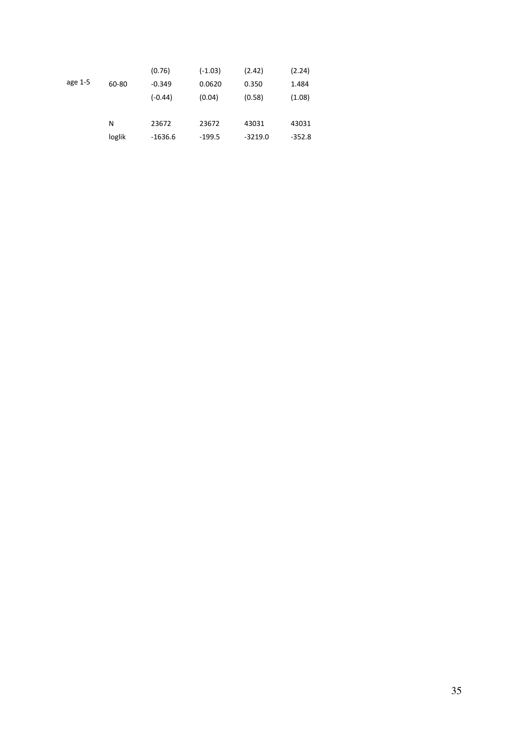|         |        | (0.76)    | $(-1.03)$ | (2.42)    | (2.24)   |
|---------|--------|-----------|-----------|-----------|----------|
| age 1-5 | 60-80  | $-0.349$  | 0.0620    | 0.350     | 1.484    |
|         |        | $(-0.44)$ | (0.04)    | (0.58)    | (1.08)   |
|         |        |           |           |           |          |
|         | N      | 23672     | 23672     | 43031     | 43031    |
|         | loglik | $-1636.6$ | $-199.5$  | $-3219.0$ | $-352.8$ |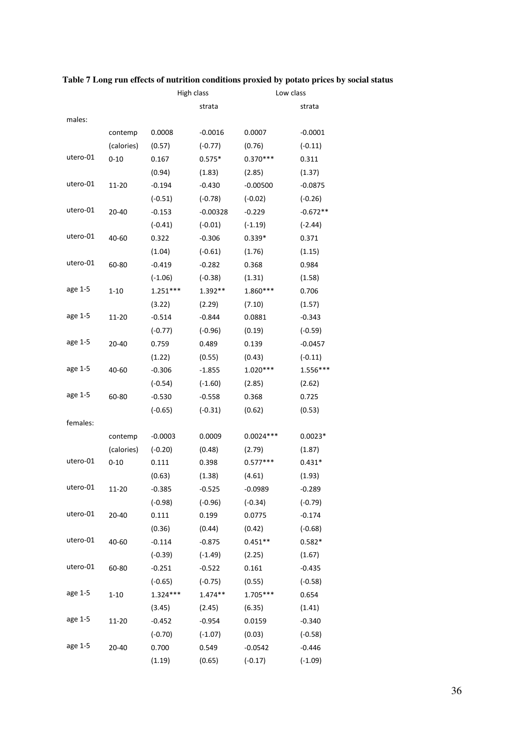|          |            | High class |            |             | Low class  |  |
|----------|------------|------------|------------|-------------|------------|--|
|          |            |            | strata     |             | strata     |  |
| males:   |            |            |            |             |            |  |
|          | contemp    | 0.0008     | $-0.0016$  | 0.0007      | $-0.0001$  |  |
|          | (calories) | (0.57)     | $(-0.77)$  | (0.76)      | $(-0.11)$  |  |
| utero-01 | $0 - 10$   | 0.167      | $0.575*$   | $0.370***$  | 0.311      |  |
|          |            | (0.94)     | (1.83)     | (2.85)      | (1.37)     |  |
| utero-01 | 11-20      | $-0.194$   | $-0.430$   | $-0.00500$  | $-0.0875$  |  |
|          |            | $(-0.51)$  | $(-0.78)$  | $(-0.02)$   | $(-0.26)$  |  |
| utero-01 | 20-40      | $-0.153$   | $-0.00328$ | $-0.229$    | $-0.672**$ |  |
|          |            | $(-0.41)$  | $(-0.01)$  | $(-1.19)$   | $(-2.44)$  |  |
| utero-01 | 40-60      | 0.322      | $-0.306$   | $0.339*$    | 0.371      |  |
|          |            | (1.04)     | $(-0.61)$  | (1.76)      | (1.15)     |  |
| utero-01 | 60-80      | $-0.419$   | $-0.282$   | 0.368       | 0.984      |  |
|          |            | $(-1.06)$  | $(-0.38)$  | (1.31)      | (1.58)     |  |
| age 1-5  | $1 - 10$   | $1.251***$ | 1.392**    | 1.860***    | 0.706      |  |
|          |            | (3.22)     | (2.29)     | (7.10)      | (1.57)     |  |
| age 1-5  | 11-20      | $-0.514$   | $-0.844$   | 0.0881      | $-0.343$   |  |
|          |            | $(-0.77)$  | $(-0.96)$  | (0.19)      | $(-0.59)$  |  |
| age 1-5  | $20 - 40$  | 0.759      | 0.489      | 0.139       | $-0.0457$  |  |
|          |            | (1.22)     | (0.55)     | (0.43)      | $(-0.11)$  |  |
| age 1-5  | 40-60      | $-0.306$   | $-1.855$   | $1.020***$  | 1.556***   |  |
|          |            | $(-0.54)$  | $(-1.60)$  | (2.85)      | (2.62)     |  |
| age 1-5  | 60-80      | $-0.530$   | $-0.558$   | 0.368       | 0.725      |  |
|          |            | $(-0.65)$  | $(-0.31)$  | (0.62)      | (0.53)     |  |
| females: |            |            |            |             |            |  |
|          | contemp    | $-0.0003$  | 0.0009     | $0.0024***$ | $0.0023*$  |  |
|          | (calories) | $(-0.20)$  | (0.48)     | (2.79)      | (1.87)     |  |
| utero-01 | $0 - 10$   | 0.111      | 0.398      | $0.577***$  | $0.431*$   |  |
|          |            | (0.63)     | (1.38)     | (4.61)      | (1.93)     |  |
| utero-01 | 11-20      | $-0.385$   | $-0.525$   | $-0.0989$   | $-0.289$   |  |
|          |            | $(-0.98)$  | $(-0.96)$  | $(-0.34)$   | $(-0.79)$  |  |
| utero-01 | 20-40      | 0.111      | 0.199      | 0.0775      | $-0.174$   |  |
|          |            | (0.36)     | (0.44)     | (0.42)      | $(-0.68)$  |  |
| utero-01 | 40-60      | $-0.114$   | $-0.875$   | $0.451**$   | $0.582*$   |  |
|          |            | $(-0.39)$  | $(-1.49)$  | (2.25)      | (1.67)     |  |
| utero-01 | 60-80      | $-0.251$   | $-0.522$   | 0.161       | $-0.435$   |  |
|          |            | $(-0.65)$  | $(-0.75)$  | (0.55)      | $(-0.58)$  |  |
| age 1-5  | $1 - 10$   | $1.324***$ | $1.474**$  | 1.705***    | 0.654      |  |
|          |            | (3.45)     | (2.45)     | (6.35)      | (1.41)     |  |
| age 1-5  | 11-20      | $-0.452$   | $-0.954$   | 0.0159      | $-0.340$   |  |
|          |            | $(-0.70)$  | $(-1.07)$  | (0.03)      | $(-0.58)$  |  |
| age 1-5  | 20-40      | 0.700      | 0.549      | $-0.0542$   | $-0.446$   |  |
|          |            | (1.19)     | (0.65)     | $(-0.17)$   | $(-1.09)$  |  |

### **Table 7 Long run effects of nutrition conditions proxied by potato prices by social status**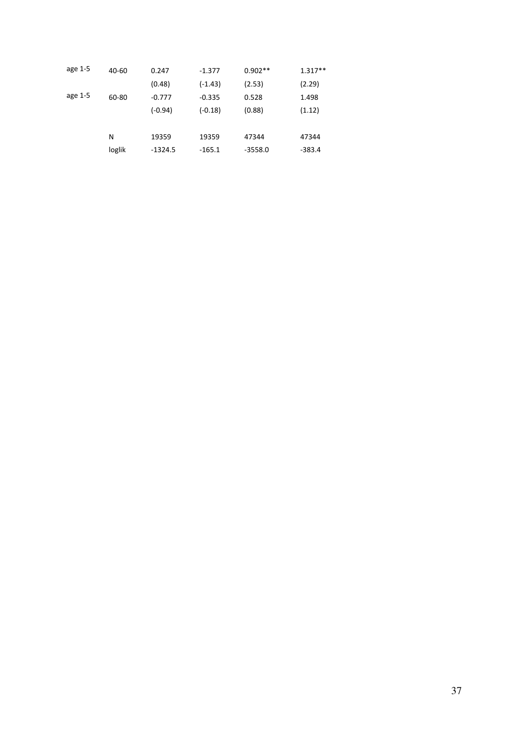| age 1-5 | 40-60  | 0.247     | $-1.377$  | $0.902**$ | $1.317**$ |
|---------|--------|-----------|-----------|-----------|-----------|
|         |        | (0.48)    | $(-1.43)$ | (2.53)    | (2.29)    |
| age 1-5 | 60-80  | $-0.777$  | $-0.335$  | 0.528     | 1.498     |
|         |        | $(-0.94)$ | $(-0.18)$ | (0.88)    | (1.12)    |
|         |        |           |           |           |           |
|         | N      | 19359     | 19359     | 47344     | 47344     |
|         | loglik | $-1324.5$ | $-165.1$  | $-3558.0$ | $-383.4$  |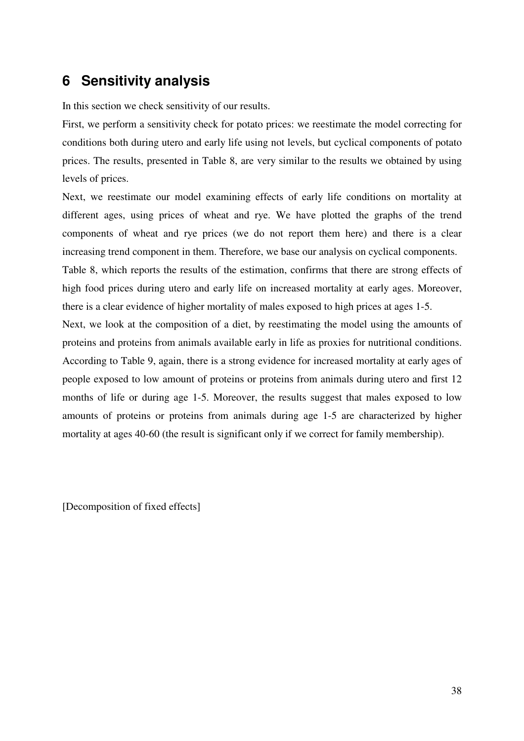## **6 Sensitivity analysis**

In this section we check sensitivity of our results.

First, we perform a sensitivity check for potato prices: we reestimate the model correcting for conditions both during utero and early life using not levels, but cyclical components of potato prices. The results, presented in Table 8, are very similar to the results we obtained by using levels of prices.

Next, we reestimate our model examining effects of early life conditions on mortality at different ages, using prices of wheat and rye. We have plotted the graphs of the trend components of wheat and rye prices (we do not report them here) and there is a clear increasing trend component in them. Therefore, we base our analysis on cyclical components.

Table 8, which reports the results of the estimation, confirms that there are strong effects of high food prices during utero and early life on increased mortality at early ages. Moreover, there is a clear evidence of higher mortality of males exposed to high prices at ages 1-5.

Next, we look at the composition of a diet, by reestimating the model using the amounts of proteins and proteins from animals available early in life as proxies for nutritional conditions. According to Table 9, again, there is a strong evidence for increased mortality at early ages of people exposed to low amount of proteins or proteins from animals during utero and first 12 months of life or during age 1-5. Moreover, the results suggest that males exposed to low amounts of proteins or proteins from animals during age 1-5 are characterized by higher mortality at ages 40-60 (the result is significant only if we correct for family membership).

[Decomposition of fixed effects]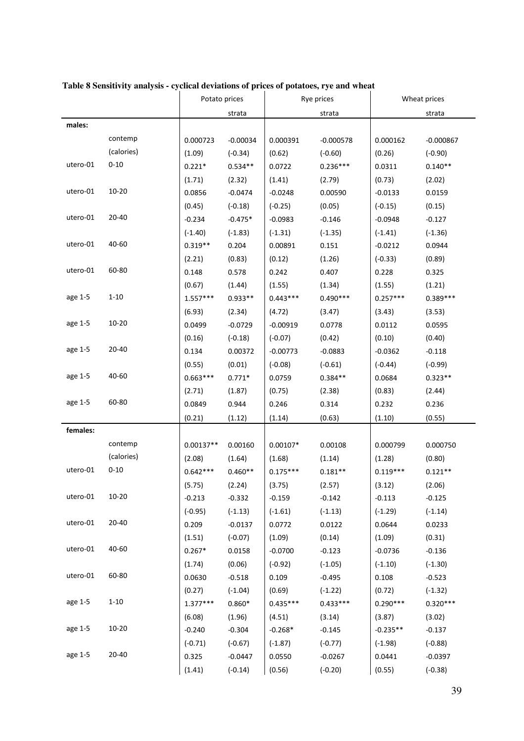|          |            | Potato prices |            | Rye prices |             | Wheat prices |             |
|----------|------------|---------------|------------|------------|-------------|--------------|-------------|
|          |            |               | strata     |            | strata      |              | strata      |
| males:   |            |               |            |            |             |              |             |
|          | contemp    | 0.000723      | $-0.00034$ | 0.000391   | $-0.000578$ | 0.000162     | $-0.000867$ |
|          | (calories) | (1.09)        | $(-0.34)$  | (0.62)     | $(-0.60)$   | (0.26)       | $(-0.90)$   |
| utero-01 | $0 - 10$   | $0.221*$      | $0.534**$  | 0.0722     | $0.236***$  | 0.0311       | $0.140**$   |
|          |            | (1.71)        | (2.32)     | (1.41)     | (2.79)      | (0.73)       | (2.02)      |
| utero-01 | $10 - 20$  | 0.0856        | $-0.0474$  | $-0.0248$  | 0.00590     | $-0.0133$    | 0.0159      |
|          |            | (0.45)        | $(-0.18)$  | $(-0.25)$  | (0.05)      | $(-0.15)$    | (0.15)      |
| utero-01 | $20 - 40$  | $-0.234$      | $-0.475*$  | $-0.0983$  | $-0.146$    | $-0.0948$    | $-0.127$    |
|          |            | $(-1.40)$     | $(-1.83)$  | $(-1.31)$  | $(-1.35)$   | $(-1.41)$    | $(-1.36)$   |
| utero-01 | 40-60      | $0.319**$     | 0.204      | 0.00891    | 0.151       | $-0.0212$    | 0.0944      |
|          |            | (2.21)        | (0.83)     | (0.12)     | (1.26)      | $(-0.33)$    | (0.89)      |
| utero-01 | 60-80      | 0.148         | 0.578      | 0.242      | 0.407       | 0.228        | 0.325       |
|          |            | (0.67)        | (1.44)     | (1.55)     | (1.34)      | (1.55)       | (1.21)      |
| age 1-5  | $1 - 10$   | $1.557***$    | $0.933**$  | $0.443***$ | $0.490***$  | $0.257***$   | $0.389***$  |
|          |            | (6.93)        | (2.34)     | (4.72)     | (3.47)      | (3.43)       | (3.53)      |
| age 1-5  | $10 - 20$  | 0.0499        | $-0.0729$  | $-0.00919$ | 0.0778      | 0.0112       | 0.0595      |
|          |            | (0.16)        | $(-0.18)$  | $(-0.07)$  | (0.42)      | (0.10)       | (0.40)      |
| age 1-5  | 20-40      | 0.134         | 0.00372    | $-0.00773$ | $-0.0883$   | $-0.0362$    | $-0.118$    |
|          |            | (0.55)        | (0.01)     | $(-0.08)$  | $(-0.61)$   | $(-0.44)$    | $(-0.99)$   |
| age 1-5  | 40-60      | $0.663***$    | $0.771*$   | 0.0759     | $0.384**$   | 0.0684       | $0.323**$   |
|          |            | (2.71)        | (1.87)     | (0.75)     | (2.38)      | (0.83)       | (2.44)      |
| age 1-5  | 60-80      | 0.0849        | 0.944      | 0.246      | 0.314       | 0.232        | 0.236       |
|          |            | (0.21)        | (1.12)     | (1.14)     | (0.63)      | (1.10)       | (0.55)      |
| females: |            |               |            |            |             |              |             |
|          | contemp    | $0.00137**$   | 0.00160    | $0.00107*$ | 0.00108     | 0.000799     | 0.000750    |
|          | (calories) | (2.08)        | (1.64)     | (1.68)     | (1.14)      | (1.28)       | (0.80)      |
| utero-01 | $0 - 10$   | $0.642***$    | $0.460**$  | $0.175***$ | $0.181**$   | $0.119***$   | $0.121**$   |
|          |            | (5.75)        | (2.24)     | (3.75)     | (2.57)      | (3.12)       | (2.06)      |
| utero-01 | $10 - 20$  | $-0.213$      | $-0.332$   | $-0.159$   | $-0.142$    | $-0.113$     | $-0.125$    |
|          |            | $(-0.95)$     | $(-1.13)$  | $(-1.61)$  | $(-1.13)$   | $(-1.29)$    | $(-1.14)$   |
| utero-01 | 20-40      | 0.209         | $-0.0137$  | 0.0772     | 0.0122      | 0.0644       | 0.0233      |
|          |            | (1.51)        | $(-0.07)$  | (1.09)     | (0.14)      | (1.09)       | (0.31)      |
| utero-01 | 40-60      | $0.267*$      | 0.0158     | $-0.0700$  | $-0.123$    | $-0.0736$    | $-0.136$    |
|          |            | (1.74)        | (0.06)     | $(-0.92)$  | $(-1.05)$   | $(-1.10)$    | $(-1.30)$   |
| utero-01 | 60-80      | 0.0630        | $-0.518$   | 0.109      | $-0.495$    | 0.108        | $-0.523$    |
|          |            | (0.27)        | $(-1.04)$  | (0.69)     | $(-1.22)$   | (0.72)       | $(-1.32)$   |
| age 1-5  | $1 - 10$   | $1.377***$    | $0.860*$   | $0.435***$ | $0.433***$  | $0.290***$   | $0.320***$  |
|          |            | (6.08)        | (1.96)     | (4.51)     | (3.14)      | (3.87)       | (3.02)      |
| age 1-5  | $10 - 20$  | $-0.240$      | $-0.304$   | $-0.268*$  | $-0.145$    | $-0.235**$   | $-0.137$    |
|          |            | $(-0.71)$     | $(-0.67)$  | $(-1.87)$  | $(-0.77)$   | $(-1.98)$    | $(-0.88)$   |
| age 1-5  | $20 - 40$  | 0.325         | $-0.0447$  | 0.0550     | $-0.0267$   | 0.0441       | $-0.0397$   |
|          |            | (1.41)        | $(-0.14)$  | (0.56)     | $(-0.20)$   | (0.55)       | $(-0.38)$   |

### **Table 8 Sensitivity analysis - cyclical deviations of prices of potatoes, rye and wheat**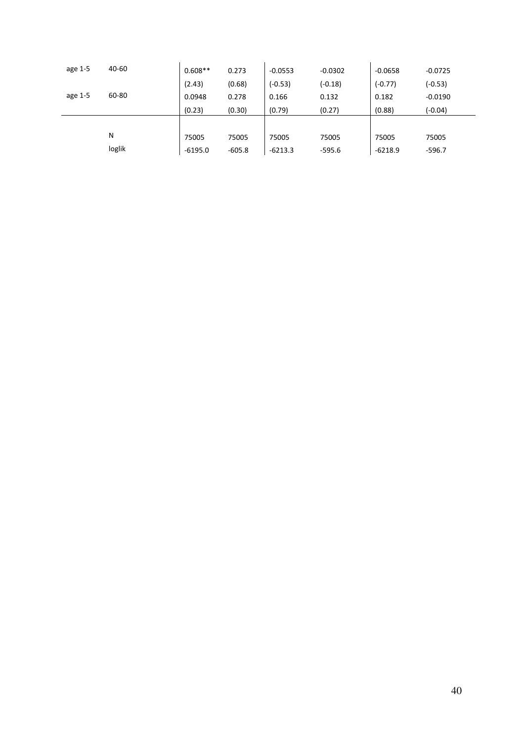| age 1-5 | 40-60  | $0.608**$ | 0.273    | $-0.0553$ | $-0.0302$ | $-0.0658$ | $-0.0725$ |
|---------|--------|-----------|----------|-----------|-----------|-----------|-----------|
|         |        | (2.43)    | (0.68)   | $(-0.53)$ | $(-0.18)$ | $(-0.77)$ | $(-0.53)$ |
| age 1-5 | 60-80  | 0.0948    | 0.278    | 0.166     | 0.132     | 0.182     | $-0.0190$ |
|         |        | (0.23)    | (0.30)   | (0.79)    | (0.27)    | (0.88)    | $(-0.04)$ |
|         |        |           |          |           |           |           |           |
|         | N      | 75005     | 75005    | 75005     | 75005     | 75005     | 75005     |
|         | loglik | $-6195.0$ | $-605.8$ | $-6213.3$ | $-595.6$  | $-6218.9$ | $-596.7$  |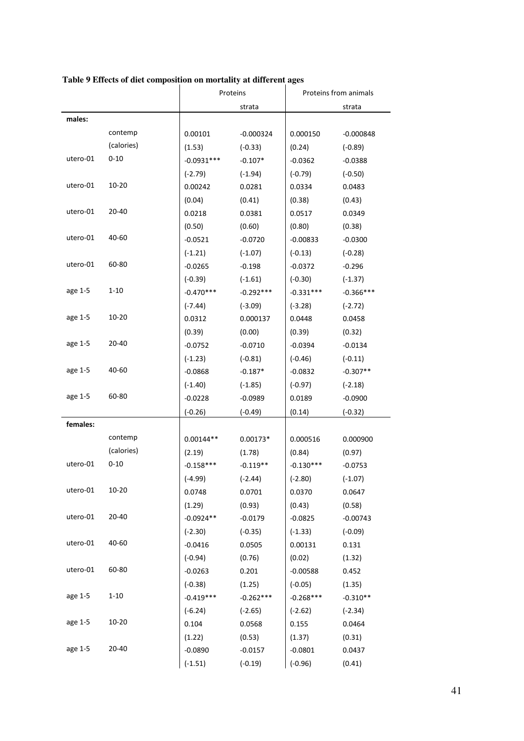|          |            | Proteins     |             | Proteins from animals |             |  |
|----------|------------|--------------|-------------|-----------------------|-------------|--|
|          |            | strata       |             | strata                |             |  |
| males:   |            |              |             |                       |             |  |
|          | contemp    | 0.00101      | $-0.000324$ | 0.000150              | $-0.000848$ |  |
|          | (calories) | (1.53)       | $(-0.33)$   | (0.24)                | $(-0.89)$   |  |
| utero-01 | $0 - 10$   | $-0.0931***$ | $-0.107*$   | $-0.0362$             | $-0.0388$   |  |
|          |            | $(-2.79)$    | $(-1.94)$   | $(-0.79)$             | $(-0.50)$   |  |
| utero-01 | $10 - 20$  | 0.00242      | 0.0281      | 0.0334                | 0.0483      |  |
|          |            | (0.04)       | (0.41)      | (0.38)                | (0.43)      |  |
| utero-01 | $20 - 40$  | 0.0218       | 0.0381      | 0.0517                | 0.0349      |  |
|          |            | (0.50)       | (0.60)      | (0.80)                | (0.38)      |  |
| utero-01 | 40-60      | $-0.0521$    | $-0.0720$   | $-0.00833$            | $-0.0300$   |  |
|          |            | $(-1.21)$    | $(-1.07)$   | $(-0.13)$             | $(-0.28)$   |  |
| utero-01 | 60-80      | $-0.0265$    | $-0.198$    | $-0.0372$             | $-0.296$    |  |
|          |            | $(-0.39)$    | $(-1.61)$   | $(-0.30)$             | $(-1.37)$   |  |
| age 1-5  | $1 - 10$   | $-0.470***$  | $-0.292***$ | $-0.331***$           | $-0.366***$ |  |
|          |            | $(-7.44)$    | $(-3.09)$   | $(-3.28)$             | $(-2.72)$   |  |
| age 1-5  | $10 - 20$  | 0.0312       | 0.000137    | 0.0448                | 0.0458      |  |
|          |            | (0.39)       | (0.00)      | (0.39)                | (0.32)      |  |
| age 1-5  | 20-40      | $-0.0752$    | $-0.0710$   | $-0.0394$             | $-0.0134$   |  |
|          |            | $(-1.23)$    | $(-0.81)$   | $(-0.46)$             | $(-0.11)$   |  |
| age 1-5  | 40-60      | $-0.0868$    | $-0.187*$   | $-0.0832$             | $-0.307**$  |  |
|          |            | $(-1.40)$    | $(-1.85)$   | $(-0.97)$             | $(-2.18)$   |  |
| age 1-5  | 60-80      | $-0.0228$    | $-0.0989$   | 0.0189                | $-0.0900$   |  |
|          |            | $(-0.26)$    | $(-0.49)$   | (0.14)                | $(-0.32)$   |  |
| females: |            |              |             |                       |             |  |
|          | contemp    | $0.00144**$  | $0.00173*$  | 0.000516              | 0.000900    |  |
|          | (calories) | (2.19)       | (1.78)      | (0.84)                | (0.97)      |  |
| utero-01 | $0 - 10$   | $-0.158***$  | $-0.119**$  | $-0.130***$           | $-0.0753$   |  |
|          |            | $(-4.99)$    | $(-2.44)$   | $(-2.80)$             | $(-1.07)$   |  |
| utero-01 | $10 - 20$  | 0.0748       | 0.0701      | 0.0370                | 0.0647      |  |
|          |            | (1.29)       | (0.93)      | (0.43)                | (0.58)      |  |
| utero-01 | 20-40      | $-0.0924**$  | $-0.0179$   | $-0.0825$             | $-0.00743$  |  |
|          |            | $(-2.30)$    | $(-0.35)$   | $(-1.33)$             | $(-0.09)$   |  |
| utero-01 | 40-60      | $-0.0416$    | 0.0505      | 0.00131               | 0.131       |  |
|          |            | $(-0.94)$    | (0.76)      | (0.02)                | (1.32)      |  |
| utero-01 | 60-80      | $-0.0263$    | 0.201       | $-0.00588$            | 0.452       |  |
|          |            | $(-0.38)$    | (1.25)      | $(-0.05)$             | (1.35)      |  |
| age 1-5  | $1 - 10$   | $-0.419***$  | $-0.262***$ | $-0.268***$           | $-0.310**$  |  |
|          |            | $(-6.24)$    | $(-2.65)$   | $(-2.62)$             | $(-2.34)$   |  |
| age 1-5  | $10 - 20$  | 0.104        | 0.0568      | 0.155                 | 0.0464      |  |
|          |            | (1.22)       | (0.53)      | (1.37)                | (0.31)      |  |
| age 1-5  | 20-40      | $-0.0890$    | $-0.0157$   | $-0.0801$             | 0.0437      |  |
|          |            | $(-1.51)$    | $(-0.19)$   | $(-0.96)$             | (0.41)      |  |

### **Table 9 Effects of diet composition on mortality at different ages**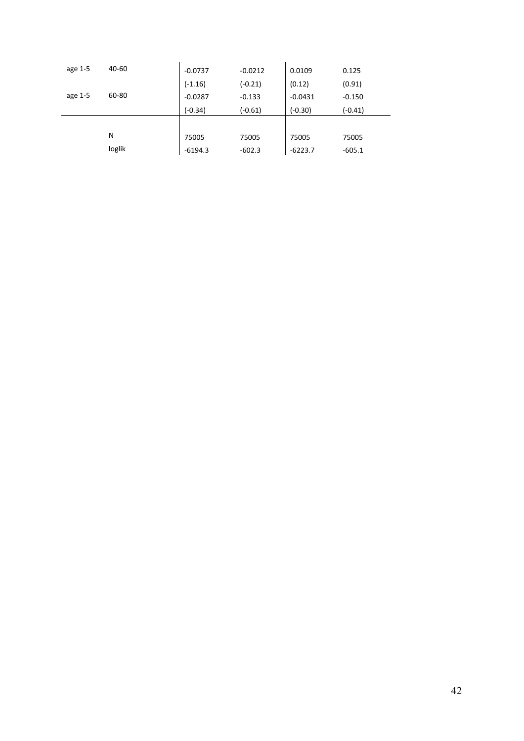| age 1-5 | 40-60  | $-0.0737$ | $-0.0212$ | 0.0109    | 0.125     |
|---------|--------|-----------|-----------|-----------|-----------|
|         |        | $(-1.16)$ | $(-0.21)$ | (0.12)    | (0.91)    |
| age 1-5 | 60-80  | $-0.0287$ | $-0.133$  | $-0.0431$ | $-0.150$  |
|         |        | $(-0.34)$ | $(-0.61)$ | $(-0.30)$ | $(-0.41)$ |
|         |        |           |           |           |           |
|         | N      | 75005     | 75005     | 75005     | 75005     |
|         | loglik | $-6194.3$ | $-602.3$  | $-6223.7$ | $-605.1$  |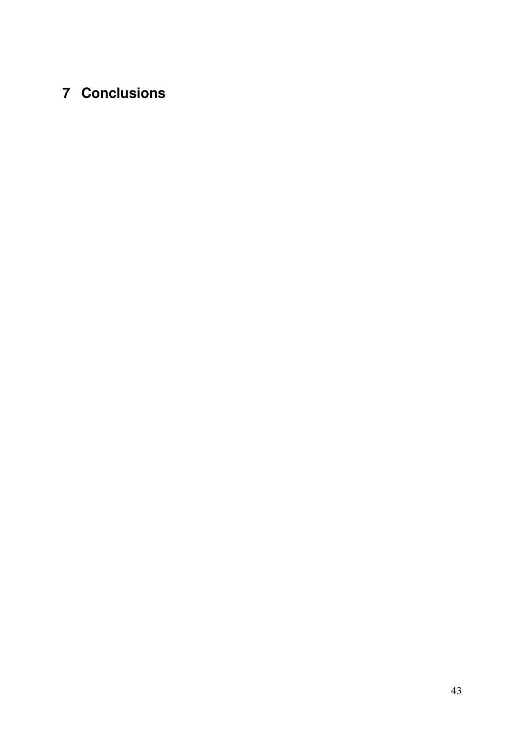# **7 Conclusions**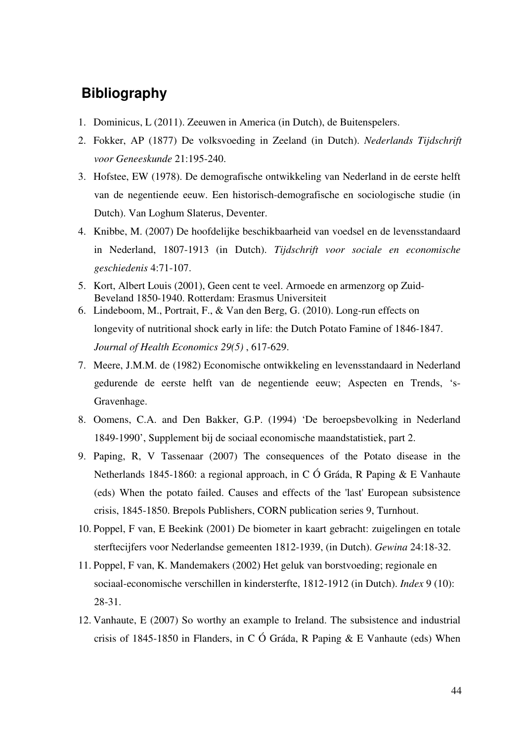## **Bibliography**

- 1. Dominicus, L (2011). Zeeuwen in America (in Dutch), de Buitenspelers.
- 2. Fokker, AP (1877) De volksvoeding in Zeeland (in Dutch). *Nederlands Tijdschrift voor Geneeskunde* 21:195-240.
- 3. Hofstee, EW (1978). De demografische ontwikkeling van Nederland in de eerste helft van de negentiende eeuw. Een historisch-demografische en sociologische studie (in Dutch). Van Loghum Slaterus, Deventer.
- 4. Knibbe, M. (2007) De hoofdelijke beschikbaarheid van voedsel en de levensstandaard in Nederland, 1807-1913 (in Dutch). *Tijdschrift voor sociale en economische geschiedenis* 4:71-107.
- 5. Kort, Albert Louis (2001), Geen cent te veel. Armoede en armenzorg op Zuid-Beveland 1850-1940. Rotterdam: Erasmus Universiteit
- 6. Lindeboom, M., Portrait, F., & Van den Berg, G. (2010). Long-run effects on longevity of nutritional shock early in life: the Dutch Potato Famine of 1846-1847. *Journal of Health Economics 29(5)* , 617-629.
- 7. Meere, J.M.M. de (1982) Economische ontwikkeling en levensstandaard in Nederland gedurende de eerste helft van de negentiende eeuw; Aspecten en Trends, 's-Gravenhage.
- 8. Oomens, C.A. and Den Bakker, G.P. (1994) 'De beroepsbevolking in Nederland 1849-1990', Supplement bij de sociaal economische maandstatistiek, part 2.
- 9. Paping, R, V Tassenaar (2007) The consequences of the Potato disease in the Netherlands 1845-1860: a regional approach, in C Ó Gráda, R Paping & E Vanhaute (eds) When the potato failed. Causes and effects of the 'last' European subsistence crisis, 1845-1850. Brepols Publishers, CORN publication series 9, Turnhout.
- 10. Poppel, F van, E Beekink (2001) De biometer in kaart gebracht: zuigelingen en totale sterftecijfers voor Nederlandse gemeenten 1812-1939, (in Dutch). *Gewina* 24:18-32.
- 11. Poppel, F van, K. Mandemakers (2002) Het geluk van borstvoeding; regionale en sociaal-economische verschillen in kindersterfte, 1812-1912 (in Dutch). *Index* 9 (10): 28-31.
- 12. Vanhaute, E (2007) So worthy an example to Ireland. The subsistence and industrial crisis of 1845-1850 in Flanders, in C Ó Gráda, R Paping & E Vanhaute (eds) When